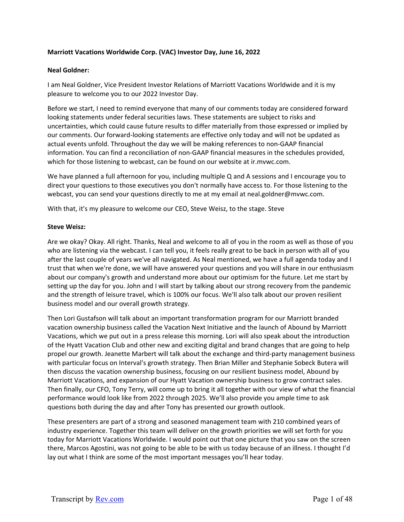# **Marriott Vacations Worldwide Corp. (VAC) Investor Day, June 16, 2022**

#### **Neal Goldner:**

I am Neal Goldner, Vice President Investor Relations of Marriott Vacations Worldwide and it is my pleasure to welcome you to our 2022 Investor Day.

Before we start, I need to remind everyone that many of our comments today are considered forward looking statements under federal securities laws. These statements are subject to risks and uncertainties, which could cause future results to differ materially from those expressed or implied by our comments. Our forward‐looking statements are effective only today and will not be updated as actual events unfold. Throughout the day we will be making references to non‐GAAP financial information. You can find a reconciliation of non‐GAAP financial measures in the schedules provided, which for those listening to webcast, can be found on our website at ir.mvwc.com.

We have planned a full afternoon for you, including multiple Q and A sessions and I encourage you to direct your questions to those executives you don't normally have access to. For those listening to the webcast, you can send your questions directly to me at my email at neal.goldner@mvwc.com.

With that, it's my pleasure to welcome our CEO, Steve Weisz, to the stage. Steve

### **Steve Weisz:**

Are we okay? Okay. All right. Thanks, Neal and welcome to all of you in the room as well as those of you who are listening via the webcast. I can tell you, it feels really great to be back in person with all of you after the last couple of years we've all navigated. As Neal mentioned, we have a full agenda today and I trust that when we're done, we will have answered your questions and you will share in our enthusiasm about our company's growth and understand more about our optimism for the future. Let me start by setting up the day for you. John and I will start by talking about our strong recovery from the pandemic and the strength of leisure travel, which is 100% our focus. We'll also talk about our proven resilient business model and our overall growth strategy.

Then Lori Gustafson will talk about an important transformation program for our Marriott branded vacation ownership business called the Vacation Next Initiative and the launch of Abound by Marriott Vacations, which we put out in a press release this morning. Lori will also speak about the introduction of the Hyatt Vacation Club and other new and exciting digital and brand changes that are going to help propel our growth. Jeanette Marbert will talk about the exchange and third‐party management business with particular focus on Interval's growth strategy. Then Brian Miller and Stephanie Sobeck Butera will then discuss the vacation ownership business, focusing on our resilient business model, Abound by Marriott Vacations, and expansion of our Hyatt Vacation ownership business to grow contract sales. Then finally, our CFO, Tony Terry, will come up to bring it all together with our view of what the financial performance would look like from 2022 through 2025. We'll also provide you ample time to ask questions both during the day and after Tony has presented our growth outlook.

These presenters are part of a strong and seasoned management team with 210 combined years of industry experience. Together this team will deliver on the growth priorities we will set forth for you today for Marriott Vacations Worldwide. I would point out that one picture that you saw on the screen there, Marcos Agostini, was not going to be able to be with us today because of an illness. I thought I'd lay out what I think are some of the most important messages you'll hear today.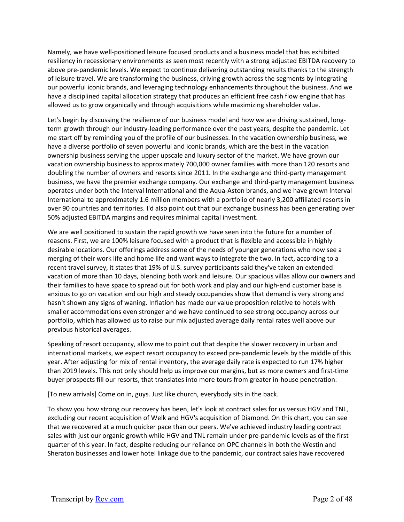Namely, we have well‐positioned leisure focused products and a business model that has exhibited resiliency in recessionary environments as seen most recently with a strong adjusted EBITDA recovery to above pre‐pandemic levels. We expect to continue delivering outstanding results thanks to the strength of leisure travel. We are transforming the business, driving growth across the segments by integrating our powerful iconic brands, and leveraging technology enhancements throughout the business. And we have a disciplined capital allocation strategy that produces an efficient free cash flow engine that has allowed us to grow organically and through acquisitions while maximizing shareholder value.

Let's begin by discussing the resilience of our business model and how we are driving sustained, longterm growth through our industry‐leading performance over the past years, despite the pandemic. Let me start off by reminding you of the profile of our businesses. In the vacation ownership business, we have a diverse portfolio of seven powerful and iconic brands, which are the best in the vacation ownership business serving the upper upscale and luxury sector of the market. We have grown our vacation ownership business to approximately 700,000 owner families with more than 120 resorts and doubling the number of owners and resorts since 2011. In the exchange and third-party management business, we have the premier exchange company. Our exchange and third‐party management business operates under both the Interval International and the Aqua‐Aston brands, and we have grown Interval International to approximately 1.6 million members with a portfolio of nearly 3,200 affiliated resorts in over 90 countries and territories. I'd also point out that our exchange business has been generating over 50% adjusted EBITDA margins and requires minimal capital investment.

We are well positioned to sustain the rapid growth we have seen into the future for a number of reasons. First, we are 100% leisure focused with a product that is flexible and accessible in highly desirable locations. Our offerings address some of the needs of younger generations who now see a merging of their work life and home life and want ways to integrate the two. In fact, according to a recent travel survey, it states that 19% of U.S. survey participants said they've taken an extended vacation of more than 10 days, blending both work and leisure. Our spacious villas allow our owners and their families to have space to spread out for both work and play and our high‐end customer base is anxious to go on vacation and our high and steady occupancies show that demand is very strong and hasn't shown any signs of waning. Inflation has made our value proposition relative to hotels with smaller accommodations even stronger and we have continued to see strong occupancy across our portfolio, which has allowed us to raise our mix adjusted average daily rental rates well above our previous historical averages.

Speaking of resort occupancy, allow me to point out that despite the slower recovery in urban and international markets, we expect resort occupancy to exceed pre‐pandemic levels by the middle of this year. After adjusting for mix of rental inventory, the average daily rate is expected to run 17% higher than 2019 levels. This not only should help us improve our margins, but as more owners and first‐time buyer prospects fill our resorts, that translates into more tours from greater in‐house penetration.

[To new arrivals] Come on in, guys. Just like church, everybody sits in the back.

To show you how strong our recovery has been, let's look at contract sales for us versus HGV and TNL, excluding our recent acquisition of Welk and HGV's acquisition of Diamond. On this chart, you can see that we recovered at a much quicker pace than our peers. We've achieved industry leading contract sales with just our organic growth while HGV and TNL remain under pre-pandemic levels as of the first quarter of this year. In fact, despite reducing our reliance on OPC channels in both the Westin and Sheraton businesses and lower hotel linkage due to the pandemic, our contract sales have recovered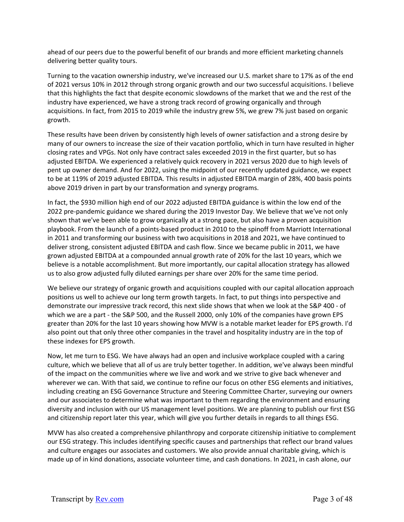ahead of our peers due to the powerful benefit of our brands and more efficient marketing channels delivering better quality tours.

Turning to the vacation ownership industry, we've increased our U.S. market share to 17% as of the end of 2021 versus 10% in 2012 through strong organic growth and our two successful acquisitions. I believe that this highlights the fact that despite economic slowdowns of the market that we and the rest of the industry have experienced, we have a strong track record of growing organically and through acquisitions. In fact, from 2015 to 2019 while the industry grew 5%, we grew 7% just based on organic growth.

These results have been driven by consistently high levels of owner satisfaction and a strong desire by many of our owners to increase the size of their vacation portfolio, which in turn have resulted in higher closing rates and VPGs. Not only have contract sales exceeded 2019 in the first quarter, but so has adjusted EBITDA. We experienced a relatively quick recovery in 2021 versus 2020 due to high levels of pent up owner demand. And for 2022, using the midpoint of our recently updated guidance, we expect to be at 119% of 2019 adjusted EBITDA. This results in adjusted EBITDA margin of 28%, 400 basis points above 2019 driven in part by our transformation and synergy programs.

In fact, the \$930 million high end of our 2022 adjusted EBITDA guidance is within the low end of the 2022 pre‐pandemic guidance we shared during the 2019 Investor Day. We believe that we've not only shown that we've been able to grow organically at a strong pace, but also have a proven acquisition playbook. From the launch of a points‐based product in 2010 to the spinoff from Marriott International in 2011 and transforming our business with two acquisitions in 2018 and 2021, we have continued to deliver strong, consistent adjusted EBITDA and cash flow. Since we became public in 2011, we have grown adjusted EBITDA at a compounded annual growth rate of 20% for the last 10 years, which we believe is a notable accomplishment. But more importantly, our capital allocation strategy has allowed us to also grow adjusted fully diluted earnings per share over 20% for the same time period.

We believe our strategy of organic growth and acquisitions coupled with our capital allocation approach positions us well to achieve our long term growth targets. In fact, to put things into perspective and demonstrate our impressive track record, this next slide shows that when we look at the S&P 400 ‐ of which we are a part - the S&P 500, and the Russell 2000, only 10% of the companies have grown EPS greater than 20% for the last 10 years showing how MVW is a notable market leader for EPS growth. I'd also point out that only three other companies in the travel and hospitality industry are in the top of these indexes for EPS growth.

Now, let me turn to ESG. We have always had an open and inclusive workplace coupled with a caring culture, which we believe that all of us are truly better together. In addition, we've always been mindful of the impact on the communities where we live and work and we strive to give back whenever and wherever we can. With that said, we continue to refine our focus on other ESG elements and initiatives, including creating an ESG Governance Structure and Steering Committee Charter, surveying our owners and our associates to determine what was important to them regarding the environment and ensuring diversity and inclusion with our US management level positions. We are planning to publish our first ESG and citizenship report later this year, which will give you further details in regards to all things ESG.

MVW has also created a comprehensive philanthropy and corporate citizenship initiative to complement our ESG strategy. This includes identifying specific causes and partnerships that reflect our brand values and culture engages our associates and customers. We also provide annual charitable giving, which is made up of in kind donations, associate volunteer time, and cash donations. In 2021, in cash alone, our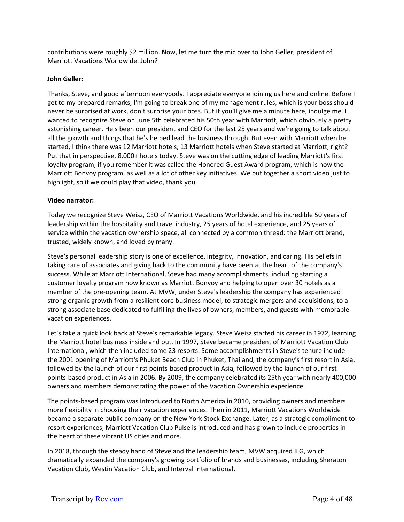contributions were roughly \$2 million. Now, let me turn the mic over to John Geller, president of Marriott Vacations Worldwide. John?

### **John Geller:**

Thanks, Steve, and good afternoon everybody. I appreciate everyone joining us here and online. Before I get to my prepared remarks, I'm going to break one of my management rules, which is your boss should never be surprised at work, don't surprise your boss. But if you'll give me a minute here, indulge me. I wanted to recognize Steve on June 5th celebrated his 50th year with Marriott, which obviously a pretty astonishing career. He's been our president and CEO for the last 25 years and we're going to talk about all the growth and things that he's helped lead the business through. But even with Marriott when he started, I think there was 12 Marriott hotels, 13 Marriott hotels when Steve started at Marriott, right? Put that in perspective, 8,000+ hotels today. Steve was on the cutting edge of leading Marriott's first loyalty program, if you remember it was called the Honored Guest Award program, which is now the Marriott Bonvoy program, as well as a lot of other key initiatives. We put together a short video just to highlight, so if we could play that video, thank you.

### **Video narrator:**

Today we recognize Steve Weisz, CEO of Marriott Vacations Worldwide, and his incredible 50 years of leadership within the hospitality and travel industry, 25 years of hotel experience, and 25 years of service within the vacation ownership space, all connected by a common thread: the Marriott brand, trusted, widely known, and loved by many.

Steve's personal leadership story is one of excellence, integrity, innovation, and caring. His beliefs in taking care of associates and giving back to the community have been at the heart of the company's success. While at Marriott International, Steve had many accomplishments, including starting a customer loyalty program now known as Marriott Bonvoy and helping to open over 30 hotels as a member of the pre-opening team. At MVW, under Steve's leadership the company has experienced strong organic growth from a resilient core business model, to strategic mergers and acquisitions, to a strong associate base dedicated to fulfilling the lives of owners, members, and guests with memorable vacation experiences.

Let's take a quick look back at Steve's remarkable legacy. Steve Weisz started his career in 1972, learning the Marriott hotel business inside and out. In 1997, Steve became president of Marriott Vacation Club International, which then included some 23 resorts. Some accomplishments in Steve's tenure include the 2001 opening of Marriott's Phuket Beach Club in Phuket, Thailand, the company's first resort in Asia, followed by the launch of our first points‐based product in Asia, followed by the launch of our first points‐based product in Asia in 2006. By 2009, the company celebrated its 25th year with nearly 400,000 owners and members demonstrating the power of the Vacation Ownership experience.

The points‐based program was introduced to North America in 2010, providing owners and members more flexibility in choosing their vacation experiences. Then in 2011, Marriott Vacations Worldwide became a separate public company on the New York Stock Exchange. Later, as a strategic compliment to resort experiences, Marriott Vacation Club Pulse is introduced and has grown to include properties in the heart of these vibrant US cities and more.

In 2018, through the steady hand of Steve and the leadership team, MVW acquired ILG, which dramatically expanded the company's growing portfolio of brands and businesses, including Sheraton Vacation Club, Westin Vacation Club, and Interval International.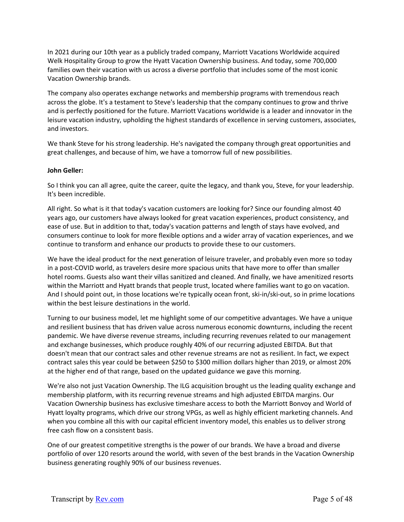In 2021 during our 10th year as a publicly traded company, Marriott Vacations Worldwide acquired Welk Hospitality Group to grow the Hyatt Vacation Ownership business. And today, some 700,000 families own their vacation with us across a diverse portfolio that includes some of the most iconic Vacation Ownership brands.

The company also operates exchange networks and membership programs with tremendous reach across the globe. It's a testament to Steve's leadership that the company continues to grow and thrive and is perfectly positioned for the future. Marriott Vacations worldwide is a leader and innovator in the leisure vacation industry, upholding the highest standards of excellence in serving customers, associates, and investors.

We thank Steve for his strong leadership. He's navigated the company through great opportunities and great challenges, and because of him, we have a tomorrow full of new possibilities.

### **John Geller:**

So I think you can all agree, quite the career, quite the legacy, and thank you, Steve, for your leadership. It's been incredible.

All right. So what is it that today's vacation customers are looking for? Since our founding almost 40 years ago, our customers have always looked for great vacation experiences, product consistency, and ease of use. But in addition to that, today's vacation patterns and length of stays have evolved, and consumers continue to look for more flexible options and a wider array of vacation experiences, and we continue to transform and enhance our products to provide these to our customers.

We have the ideal product for the next generation of leisure traveler, and probably even more so today in a post‐COVID world, as travelers desire more spacious units that have more to offer than smaller hotel rooms. Guests also want their villas sanitized and cleaned. And finally, we have amenitized resorts within the Marriott and Hyatt brands that people trust, located where families want to go on vacation. And I should point out, in those locations we're typically ocean front, ski-in/ski-out, so in prime locations within the best leisure destinations in the world.

Turning to our business model, let me highlight some of our competitive advantages. We have a unique and resilient business that has driven value across numerous economic downturns, including the recent pandemic. We have diverse revenue streams, including recurring revenues related to our management and exchange businesses, which produce roughly 40% of our recurring adjusted EBITDA. But that doesn't mean that our contract sales and other revenue streams are not as resilient. In fact, we expect contract sales this year could be between \$250 to \$300 million dollars higher than 2019, or almost 20% at the higher end of that range, based on the updated guidance we gave this morning.

We're also not just Vacation Ownership. The ILG acquisition brought us the leading quality exchange and membership platform, with its recurring revenue streams and high adjusted EBITDA margins. Our Vacation Ownership business has exclusive timeshare access to both the Marriott Bonvoy and World of Hyatt loyalty programs, which drive our strong VPGs, as well as highly efficient marketing channels. And when you combine all this with our capital efficient inventory model, this enables us to deliver strong free cash flow on a consistent basis.

One of our greatest competitive strengths is the power of our brands. We have a broad and diverse portfolio of over 120 resorts around the world, with seven of the best brands in the Vacation Ownership business generating roughly 90% of our business revenues.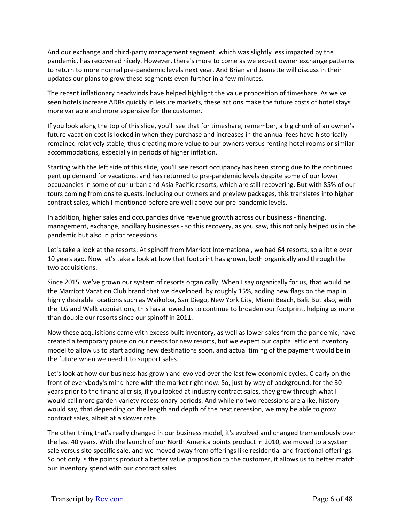And our exchange and third‐party management segment, which was slightly less impacted by the pandemic, has recovered nicely. However, there's more to come as we expect owner exchange patterns to return to more normal pre‐pandemic levels next year. And Brian and Jeanette will discuss in their updates our plans to grow these segments even further in a few minutes.

The recent inflationary headwinds have helped highlight the value proposition of timeshare. As we've seen hotels increase ADRs quickly in leisure markets, these actions make the future costs of hotel stays more variable and more expensive for the customer.

If you look along the top of this slide, you'll see that for timeshare, remember, a big chunk of an owner's future vacation cost is locked in when they purchase and increases in the annual fees have historically remained relatively stable, thus creating more value to our owners versus renting hotel rooms or similar accommodations, especially in periods of higher inflation.

Starting with the left side of this slide, you'll see resort occupancy has been strong due to the continued pent up demand for vacations, and has returned to pre‐pandemic levels despite some of our lower occupancies in some of our urban and Asia Pacific resorts, which are still recovering. But with 85% of our tours coming from onsite guests, including our owners and preview packages, this translates into higher contract sales, which I mentioned before are well above our pre-pandemic levels.

In addition, higher sales and occupancies drive revenue growth across our business ‐ financing, management, exchange, ancillary businesses ‐ so this recovery, as you saw, this not only helped us in the pandemic but also in prior recessions.

Let's take a look at the resorts. At spinoff from Marriott International, we had 64 resorts, so a little over 10 years ago. Now let's take a look at how that footprint has grown, both organically and through the two acquisitions.

Since 2015, we've grown our system of resorts organically. When I say organically for us, that would be the Marriott Vacation Club brand that we developed, by roughly 15%, adding new flags on the map in highly desirable locations such as Waikoloa, San Diego, New York City, Miami Beach, Bali. But also, with the ILG and Welk acquisitions, this has allowed us to continue to broaden our footprint, helping us more than double our resorts since our spinoff in 2011.

Now these acquisitions came with excess built inventory, as well as lower sales from the pandemic, have created a temporary pause on our needs for new resorts, but we expect our capital efficient inventory model to allow us to start adding new destinations soon, and actual timing of the payment would be in the future when we need it to support sales.

Let's look at how our business has grown and evolved over the last few economic cycles. Clearly on the front of everybody's mind here with the market right now. So, just by way of background, for the 30 years prior to the financial crisis, if you looked at industry contract sales, they grew through what I would call more garden variety recessionary periods. And while no two recessions are alike, history would say, that depending on the length and depth of the next recession, we may be able to grow contract sales, albeit at a slower rate.

The other thing that's really changed in our business model, it's evolved and changed tremendously over the last 40 years. With the launch of our North America points product in 2010, we moved to a system sale versus site specific sale, and we moved away from offerings like residential and fractional offerings. So not only is the points product a better value proposition to the customer, it allows us to better match our inventory spend with our contract sales.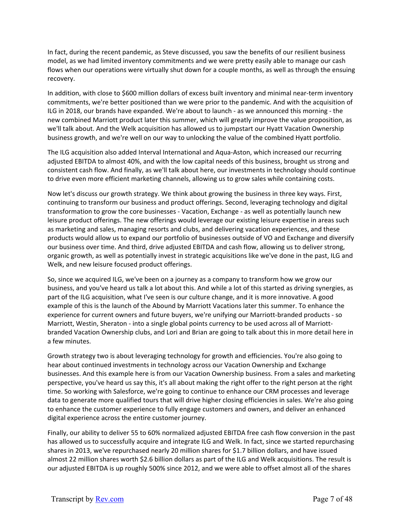In fact, during the recent pandemic, as Steve discussed, you saw the benefits of our resilient business model, as we had limited inventory commitments and we were pretty easily able to manage our cash flows when our operations were virtually shut down for a couple months, as well as through the ensuing recovery.

In addition, with close to \$600 million dollars of excess built inventory and minimal near-term inventory commitments, we're better positioned than we were prior to the pandemic. And with the acquisition of ILG in 2018, our brands have expanded. We're about to launch ‐ as we announced this morning ‐ the new combined Marriott product later this summer, which will greatly improve the value proposition, as we'll talk about. And the Welk acquisition has allowed us to jumpstart our Hyatt Vacation Ownership business growth, and we're well on our way to unlocking the value of the combined Hyatt portfolio.

The ILG acquisition also added Interval International and Aqua‐Aston, which increased our recurring adjusted EBITDA to almost 40%, and with the low capital needs of this business, brought us strong and consistent cash flow. And finally, as we'll talk about here, our investments in technology should continue to drive even more efficient marketing channels, allowing us to grow sales while containing costs.

Now let's discuss our growth strategy. We think about growing the business in three key ways. First, continuing to transform our business and product offerings. Second, leveraging technology and digital transformation to grow the core businesses ‐ Vacation, Exchange ‐ as well as potentially launch new leisure product offerings. The new offerings would leverage our existing leisure expertise in areas such as marketing and sales, managing resorts and clubs, and delivering vacation experiences, and these products would allow us to expand our portfolio of businesses outside of VO and Exchange and diversify our business over time. And third, drive adjusted EBITDA and cash flow, allowing us to deliver strong, organic growth, as well as potentially invest in strategic acquisitions like we've done in the past, ILG and Welk, and new leisure focused product offerings.

So, since we acquired ILG, we've been on a journey as a company to transform how we grow our business, and you've heard us talk a lot about this. And while a lot of this started as driving synergies, as part of the ILG acquisition, what I've seen is our culture change, and it is more innovative. A good example of this is the launch of the Abound by Marriott Vacations later this summer. To enhance the experience for current owners and future buyers, we're unifying our Marriott-branded products - so Marriott, Westin, Sheraton ‐ into a single global points currency to be used across all of Marriott‐ branded Vacation Ownership clubs, and Lori and Brian are going to talk about this in more detail here in a few minutes.

Growth strategy two is about leveraging technology for growth and efficiencies. You're also going to hear about continued investments in technology across our Vacation Ownership and Exchange businesses. And this example here is from our Vacation Ownership business. From a sales and marketing perspective, you've heard us say this, it's all about making the right offer to the right person at the right time. So working with Salesforce, we're going to continue to enhance our CRM processes and leverage data to generate more qualified tours that will drive higher closing efficiencies in sales. We're also going to enhance the customer experience to fully engage customers and owners, and deliver an enhanced digital experience across the entire customer journey.

Finally, our ability to deliver 55 to 60% normalized adjusted EBITDA free cash flow conversion in the past has allowed us to successfully acquire and integrate ILG and Welk. In fact, since we started repurchasing shares in 2013, we've repurchased nearly 20 million shares for \$1.7 billion dollars, and have issued almost 22 million shares worth \$2.6 billion dollars as part of the ILG and Welk acquisitions. The result is our adjusted EBITDA is up roughly 500% since 2012, and we were able to offset almost all of the shares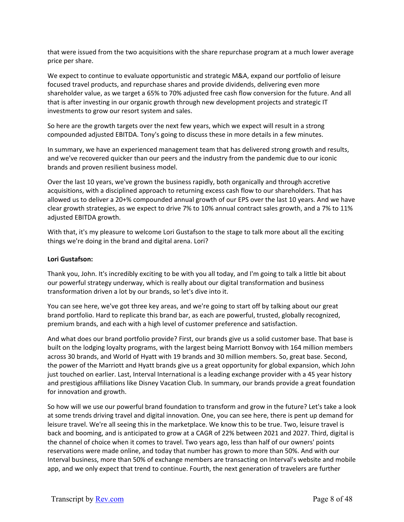that were issued from the two acquisitions with the share repurchase program at a much lower average price per share.

We expect to continue to evaluate opportunistic and strategic M&A, expand our portfolio of leisure focused travel products, and repurchase shares and provide dividends, delivering even more shareholder value, as we target a 65% to 70% adjusted free cash flow conversion for the future. And all that is after investing in our organic growth through new development projects and strategic IT investments to grow our resort system and sales.

So here are the growth targets over the next few years, which we expect will result in a strong compounded adjusted EBITDA. Tony's going to discuss these in more details in a few minutes.

In summary, we have an experienced management team that has delivered strong growth and results, and we've recovered quicker than our peers and the industry from the pandemic due to our iconic brands and proven resilient business model.

Over the last 10 years, we've grown the business rapidly, both organically and through accretive acquisitions, with a disciplined approach to returning excess cash flow to our shareholders. That has allowed us to deliver a 20+% compounded annual growth of our EPS over the last 10 years. And we have clear growth strategies, as we expect to drive 7% to 10% annual contract sales growth, and a 7% to 11% adjusted EBITDA growth.

With that, it's my pleasure to welcome Lori Gustafson to the stage to talk more about all the exciting things we're doing in the brand and digital arena. Lori?

# **Lori Gustafson:**

Thank you, John. It's incredibly exciting to be with you all today, and I'm going to talk a little bit about our powerful strategy underway, which is really about our digital transformation and business transformation driven a lot by our brands, so let's dive into it.

You can see here, we've got three key areas, and we're going to start off by talking about our great brand portfolio. Hard to replicate this brand bar, as each are powerful, trusted, globally recognized, premium brands, and each with a high level of customer preference and satisfaction.

And what does our brand portfolio provide? First, our brands give us a solid customer base. That base is built on the lodging loyalty programs, with the largest being Marriott Bonvoy with 164 million members across 30 brands, and World of Hyatt with 19 brands and 30 million members. So, great base. Second, the power of the Marriott and Hyatt brands give us a great opportunity for global expansion, which John just touched on earlier. Last, Interval International is a leading exchange provider with a 45 year history and prestigious affiliations like Disney Vacation Club. In summary, our brands provide a great foundation for innovation and growth.

So how will we use our powerful brand foundation to transform and grow in the future? Let's take a look at some trends driving travel and digital innovation. One, you can see here, there is pent up demand for leisure travel. We're all seeing this in the marketplace. We know this to be true. Two, leisure travel is back and booming, and is anticipated to grow at a CAGR of 22% between 2021 and 2027. Third, digital is the channel of choice when it comes to travel. Two years ago, less than half of our owners' points reservations were made online, and today that number has grown to more than 50%. And with our Interval business, more than 50% of exchange members are transacting on Interval's website and mobile app, and we only expect that trend to continue. Fourth, the next generation of travelers are further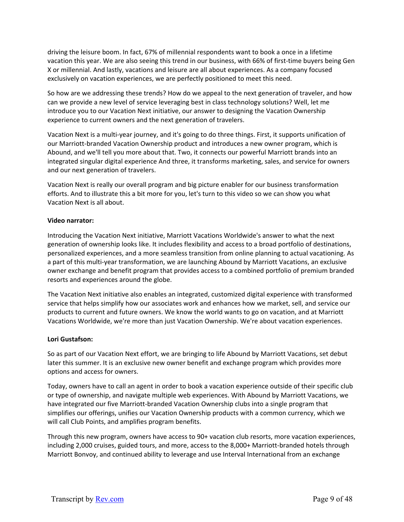driving the leisure boom. In fact, 67% of millennial respondents want to book a once in a lifetime vacation this year. We are also seeing this trend in our business, with 66% of first-time buyers being Gen X or millennial. And lastly, vacations and leisure are all about experiences. As a company focused exclusively on vacation experiences, we are perfectly positioned to meet this need.

So how are we addressing these trends? How do we appeal to the next generation of traveler, and how can we provide a new level of service leveraging best in class technology solutions? Well, let me introduce you to our Vacation Next initiative, our answer to designing the Vacation Ownership experience to current owners and the next generation of travelers.

Vacation Next is a multi‐year journey, and it's going to do three things. First, it supports unification of our Marriott‐branded Vacation Ownership product and introduces a new owner program, which is Abound, and we'll tell you more about that. Two, it connects our powerful Marriott brands into an integrated singular digital experience And three, it transforms marketing, sales, and service for owners and our next generation of travelers.

Vacation Next is really our overall program and big picture enabler for our business transformation efforts. And to illustrate this a bit more for you, let's turn to this video so we can show you what Vacation Next is all about.

### **Video narrator:**

Introducing the Vacation Next initiative, Marriott Vacations Worldwide's answer to what the next generation of ownership looks like. It includes flexibility and access to a broad portfolio of destinations, personalized experiences, and a more seamless transition from online planning to actual vacationing. As a part of this multi‐year transformation, we are launching Abound by Marriott Vacations, an exclusive owner exchange and benefit program that provides access to a combined portfolio of premium branded resorts and experiences around the globe.

The Vacation Next initiative also enables an integrated, customized digital experience with transformed service that helps simplify how our associates work and enhances how we market, sell, and service our products to current and future owners. We know the world wants to go on vacation, and at Marriott Vacations Worldwide, we're more than just Vacation Ownership. We're about vacation experiences.

#### **Lori Gustafson:**

So as part of our Vacation Next effort, we are bringing to life Abound by Marriott Vacations, set debut later this summer. It is an exclusive new owner benefit and exchange program which provides more options and access for owners.

Today, owners have to call an agent in order to book a vacation experience outside of their specific club or type of ownership, and navigate multiple web experiences. With Abound by Marriott Vacations, we have integrated our five Marriott‐branded Vacation Ownership clubs into a single program that simplifies our offerings, unifies our Vacation Ownership products with a common currency, which we will call Club Points, and amplifies program benefits.

Through this new program, owners have access to 90+ vacation club resorts, more vacation experiences, including 2,000 cruises, guided tours, and more, access to the 8,000+ Marriott-branded hotels through Marriott Bonvoy, and continued ability to leverage and use Interval International from an exchange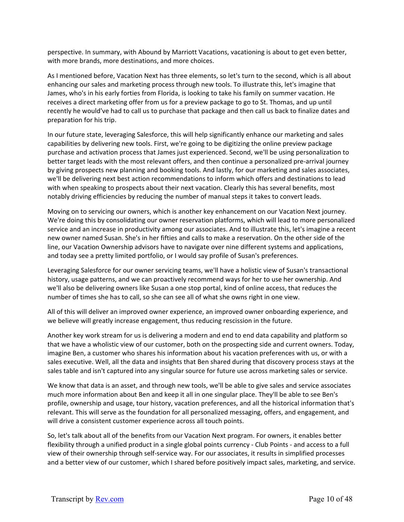perspective. In summary, with Abound by Marriott Vacations, vacationing is about to get even better, with more brands, more destinations, and more choices.

As I mentioned before, Vacation Next has three elements, so let's turn to the second, which is all about enhancing our sales and marketing process through new tools. To illustrate this, let's imagine that James, who's in his early forties from Florida, is looking to take his family on summer vacation. He receives a direct marketing offer from us for a preview package to go to St. Thomas, and up until recently he would've had to call us to purchase that package and then call us back to finalize dates and preparation for his trip.

In our future state, leveraging Salesforce, this will help significantly enhance our marketing and sales capabilities by delivering new tools. First, we're going to be digitizing the online preview package purchase and activation process that James just experienced. Second, we'll be using personalization to better target leads with the most relevant offers, and then continue a personalized pre‐arrival journey by giving prospects new planning and booking tools. And lastly, for our marketing and sales associates, we'll be delivering next best action recommendations to inform which offers and destinations to lead with when speaking to prospects about their next vacation. Clearly this has several benefits, most notably driving efficiencies by reducing the number of manual steps it takes to convert leads.

Moving on to servicing our owners, which is another key enhancement on our Vacation Next journey. We're doing this by consolidating our owner reservation platforms, which will lead to more personalized service and an increase in productivity among our associates. And to illustrate this, let's imagine a recent new owner named Susan. She's in her fifties and calls to make a reservation. On the other side of the line, our Vacation Ownership advisors have to navigate over nine different systems and applications, and today see a pretty limited portfolio, or I would say profile of Susan's preferences.

Leveraging Salesforce for our owner servicing teams, we'll have a holistic view of Susan's transactional history, usage patterns, and we can proactively recommend ways for her to use her ownership. And we'll also be delivering owners like Susan a one stop portal, kind of online access, that reduces the number of times she has to call, so she can see all of what she owns right in one view.

All of this will deliver an improved owner experience, an improved owner onboarding experience, and we believe will greatly increase engagement, thus reducing rescission in the future.

Another key work stream for us is delivering a modern and end to end data capability and platform so that we have a wholistic view of our customer, both on the prospecting side and current owners. Today, imagine Ben, a customer who shares his information about his vacation preferences with us, or with a sales executive. Well, all the data and insights that Ben shared during that discovery process stays at the sales table and isn't captured into any singular source for future use across marketing sales or service.

We know that data is an asset, and through new tools, we'll be able to give sales and service associates much more information about Ben and keep it all in one singular place. They'll be able to see Ben's profile, ownership and usage, tour history, vacation preferences, and all the historical information that's relevant. This will serve as the foundation for all personalized messaging, offers, and engagement, and will drive a consistent customer experience across all touch points.

So, let's talk about all of the benefits from our Vacation Next program. For owners, it enables better flexibility through a unified product in a single global points currency ‐ Club Points ‐ and access to a full view of their ownership through self‐service way. For our associates, it results in simplified processes and a better view of our customer, which I shared before positively impact sales, marketing, and service.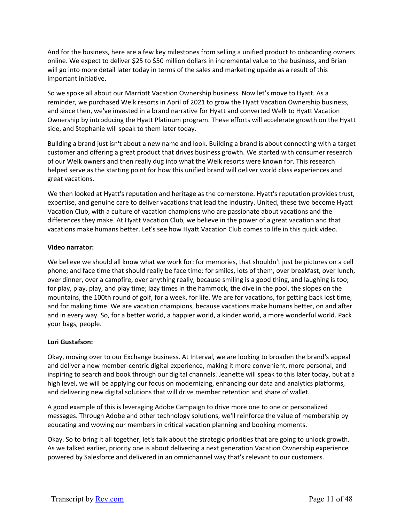And for the business, here are a few key milestones from selling a unified product to onboarding owners online. We expect to deliver \$25 to \$50 million dollars in incremental value to the business, and Brian will go into more detail later today in terms of the sales and marketing upside as a result of this important initiative.

So we spoke all about our Marriott Vacation Ownership business. Now let's move to Hyatt. As a reminder, we purchased Welk resorts in April of 2021 to grow the Hyatt Vacation Ownership business, and since then, we've invested in a brand narrative for Hyatt and converted Welk to Hyatt Vacation Ownership by introducing the Hyatt Platinum program. These efforts will accelerate growth on the Hyatt side, and Stephanie will speak to them later today.

Building a brand just isn't about a new name and look. Building a brand is about connecting with a target customer and offering a great product that drives business growth. We started with consumer research of our Welk owners and then really dug into what the Welk resorts were known for. This research helped serve as the starting point for how this unified brand will deliver world class experiences and great vacations.

We then looked at Hyatt's reputation and heritage as the cornerstone. Hyatt's reputation provides trust, expertise, and genuine care to deliver vacations that lead the industry. United, these two become Hyatt Vacation Club, with a culture of vacation champions who are passionate about vacations and the differences they make. At Hyatt Vacation Club, we believe in the power of a great vacation and that vacations make humans better. Let's see how Hyatt Vacation Club comes to life in this quick video.

# **Video narrator:**

We believe we should all know what we work for: for memories, that shouldn't just be pictures on a cell phone; and face time that should really be face time; for smiles, lots of them, over breakfast, over lunch, over dinner, over a campfire, over anything really, because smiling is a good thing, and laughing is too; for play, play, play, and play time; lazy times in the hammock, the dive in the pool, the slopes on the mountains, the 100th round of golf, for a week, for life. We are for vacations, for getting back lost time, and for making time. We are vacation champions, because vacations make humans better, on and after and in every way. So, for a better world, a happier world, a kinder world, a more wonderful world. Pack your bags, people.

# **Lori Gustafson:**

Okay, moving over to our Exchange business. At Interval, we are looking to broaden the brand's appeal and deliver a new member-centric digital experience, making it more convenient, more personal, and inspiring to search and book through our digital channels. Jeanette will speak to this later today, but at a high level, we will be applying our focus on modernizing, enhancing our data and analytics platforms, and delivering new digital solutions that will drive member retention and share of wallet.

A good example of this is leveraging Adobe Campaign to drive more one to one or personalized messages. Through Adobe and other technology solutions, we'll reinforce the value of membership by educating and wowing our members in critical vacation planning and booking moments.

Okay. So to bring it all together, let's talk about the strategic priorities that are going to unlock growth. As we talked earlier, priority one is about delivering a next generation Vacation Ownership experience powered by Salesforce and delivered in an omnichannel way that's relevant to our customers.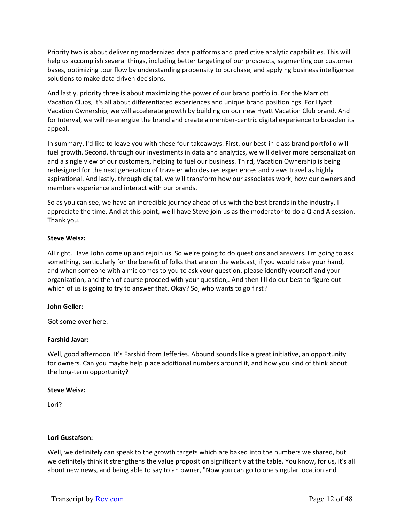Priority two is about delivering modernized data platforms and predictive analytic capabilities. This will help us accomplish several things, including better targeting of our prospects, segmenting our customer bases, optimizing tour flow by understanding propensity to purchase, and applying business intelligence solutions to make data driven decisions.

And lastly, priority three is about maximizing the power of our brand portfolio. For the Marriott Vacation Clubs, it's all about differentiated experiences and unique brand positionings. For Hyatt Vacation Ownership, we will accelerate growth by building on our new Hyatt Vacation Club brand. And for Interval, we will re-energize the brand and create a member-centric digital experience to broaden its appeal.

In summary, I'd like to leave you with these four takeaways. First, our best-in-class brand portfolio will fuel growth. Second, through our investments in data and analytics, we will deliver more personalization and a single view of our customers, helping to fuel our business. Third, Vacation Ownership is being redesigned for the next generation of traveler who desires experiences and views travel as highly aspirational. And lastly, through digital, we will transform how our associates work, how our owners and members experience and interact with our brands.

So as you can see, we have an incredible journey ahead of us with the best brands in the industry. I appreciate the time. And at this point, we'll have Steve join us as the moderator to do a Q and A session. Thank you.

# **Steve Weisz:**

All right. Have John come up and rejoin us. So we're going to do questions and answers. I'm going to ask something, particularly for the benefit of folks that are on the webcast, if you would raise your hand, and when someone with a mic comes to you to ask your question, please identify yourself and your organization, and then of course proceed with your question,. And then I'll do our best to figure out which of us is going to try to answer that. Okay? So, who wants to go first?

#### **John Geller:**

Got some over here.

# **Farshid Javar:**

Well, good afternoon. It's Farshid from Jefferies. Abound sounds like a great initiative, an opportunity for owners. Can you maybe help place additional numbers around it, and how you kind of think about the long‐term opportunity?

#### **Steve Weisz:**

Lori?

# **Lori Gustafson:**

Well, we definitely can speak to the growth targets which are baked into the numbers we shared, but we definitely think it strengthens the value proposition significantly at the table. You know, for us, it's all about new news, and being able to say to an owner, "Now you can go to one singular location and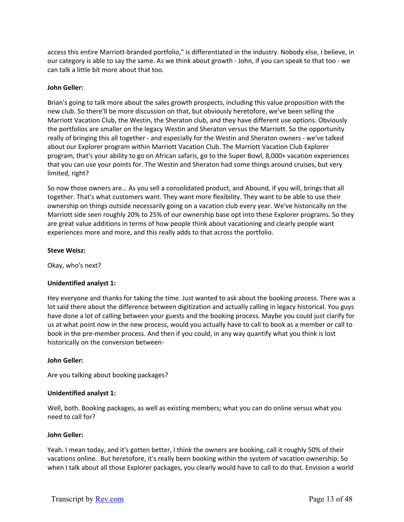access this entire Marriott‐branded portfolio," is differentiated in the industry. Nobody else, I believe, in our category is able to say the same. As we think about growth ‐ John, if you can speak to that too ‐ we can talk a little bit more about that too.

# **John Geller:**

Brian's going to talk more about the sales growth prospects, including this value proposition with the new club. So there'll be more discussion on that, but obviously heretofore, we've been selling the Marriott Vacation Club, the Westin, the Sheraton club, and they have different use options. Obviously the portfolios are smaller on the legacy Westin and Sheraton versus the Marriott. So the opportunity really of bringing this all together ‐ and especially for the Westin and Sheraton owners ‐ we've talked about our Explorer program within Marriott Vacation Club. The Marriott Vacation Club Explorer program, that's your ability to go on African safaris, go to the Super Bowl, 8,000+ vacation experiences that you can use your points for. The Westin and Sheraton had some things around cruises, but very limited, right?

So now those owners are… As you sell a consolidated product, and Abound, if you will, brings that all together. That's what customers want. They want more flexibility. They want to be able to use their ownership on things outside necessarily going on a vacation club every year. We've historically on the Marriott side seen roughly 20% to 25% of our ownership base opt into these Explorer programs. So they are great value additions in terms of how people think about vacationing and clearly people want experiences more and more, and this really adds to that across the portfolio.

# **Steve Weisz:**

Okay, who's next?

# **Unidentified analyst 1:**

Hey everyone and thanks for taking the time. Just wanted to ask about the booking process. There was a lot said there about the difference between digitization and actually calling in legacy historical. You guys have done a lot of calling between your guests and the booking process. Maybe you could just clarify for us at what point now in the new process, would you actually have to call to book as a member or call to book in the pre‐member process. And then if you could, in any way quantify what you think is lost historically on the conversion between‐

# **John Geller:**

Are you talking about booking packages?

# **Unidentified analyst 1:**

Well, both. Booking packages, as well as existing members; what you can do online versus what you need to call for?

# **John Geller:**

Yeah. I mean today, and it's gotten better, I think the owners are booking, call it roughly 50% of their vacations online. But heretofore, it's really been booking within the system of vacation ownership. So when I talk about all those Explorer packages, you clearly would have to call to do that. Envision a world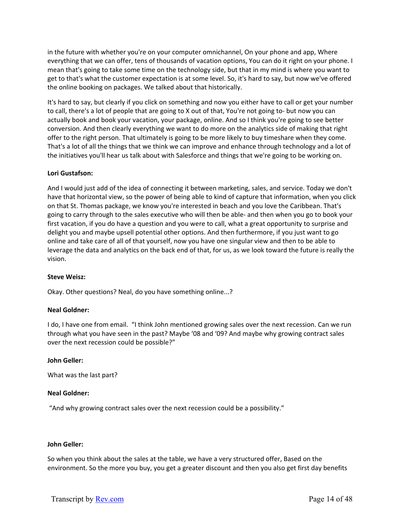in the future with whether you're on your computer omnichannel, On your phone and app, Where everything that we can offer, tens of thousands of vacation options, You can do it right on your phone. I mean that's going to take some time on the technology side, but that in my mind is where you want to get to that's what the customer expectation is at some level. So, it's hard to say, but now we've offered the online booking on packages. We talked about that historically.

It's hard to say, but clearly if you click on something and now you either have to call or get your number to call, there's a lot of people that are going to X out of that, You're not going to‐ but now you can actually book and book your vacation, your package, online. And so I think you're going to see better conversion. And then clearly everything we want to do more on the analytics side of making that right offer to the right person. That ultimately is going to be more likely to buy timeshare when they come. That's a lot of all the things that we think we can improve and enhance through technology and a lot of the initiatives you'll hear us talk about with Salesforce and things that we're going to be working on.

# **Lori Gustafson:**

And I would just add of the idea of connecting it between marketing, sales, and service. Today we don't have that horizontal view, so the power of being able to kind of capture that information, when you click on that St. Thomas package, we know you're interested in beach and you love the Caribbean. That's going to carry through to the sales executive who will then be able‐ and then when you go to book your first vacation, if you do have a question and you were to call, what a great opportunity to surprise and delight you and maybe upsell potential other options. And then furthermore, if you just want to go online and take care of all of that yourself, now you have one singular view and then to be able to leverage the data and analytics on the back end of that, for us, as we look toward the future is really the vision.

# **Steve Weisz:**

Okay. Other questions? Neal, do you have something online...?

# **Neal Goldner:**

I do, I have one from email. "I think John mentioned growing sales over the next recession. Can we run through what you have seen in the past? Maybe '08 and '09? And maybe why growing contract sales over the next recession could be possible?"

# **John Geller:**

What was the last part?

# **Neal Goldner:**

"And why growing contract sales over the next recession could be a possibility."

# **John Geller:**

So when you think about the sales at the table, we have a very structured offer, Based on the environment. So the more you buy, you get a greater discount and then you also get first day benefits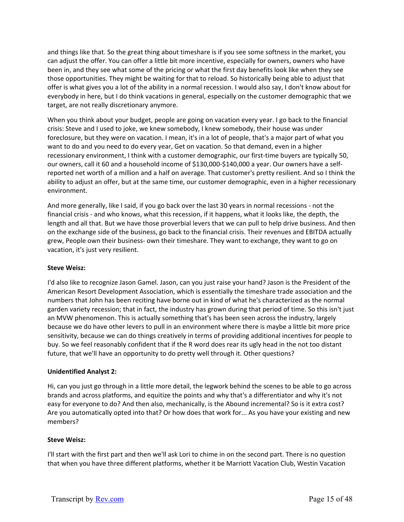and things like that. So the great thing about timeshare is if you see some softness in the market, you can adjust the offer. You can offer a little bit more incentive, especially for owners, owners who have been in, and they see what some of the pricing or what the first day benefits look like when they see those opportunities. They might be waiting for that to reload. So historically being able to adjust that offer is what gives you a lot of the ability in a normal recession. I would also say, I don't know about for everybody in here, but I do think vacations in general, especially on the customer demographic that we target, are not really discretionary anymore.

When you think about your budget, people are going on vacation every year. I go back to the financial crisis: Steve and I used to joke, we knew somebody, I knew somebody, their house was under foreclosure, but they were on vacation. I mean, it's in a lot of people, that's a major part of what you want to do and you need to do every year, Get on vacation. So that demand, even in a higher recessionary environment, I think with a customer demographic, our first-time buyers are typically 50, our owners, call it 60 and a household income of \$130,000‐\$140,000 a year. Our owners have a self‐ reported net worth of a million and a half on average. That customer's pretty resilient. And so I think the ability to adjust an offer, but at the same time, our customer demographic, even in a higher recessionary environment.

And more generally, like I said, if you go back over the last 30 years in normal recessions ‐ not the financial crisis - and who knows, what this recession, if it happens, what it looks like, the depth, the length and all that. But we have those proverbial levers that we can pull to help drive business. And then on the exchange side of the business, go back to the financial crisis. Their revenues and EBITDA actually grew, People own their business‐ own their timeshare. They want to exchange, they want to go on vacation, it's just very resilient.

# **Steve Weisz:**

I'd also like to recognize Jason Gamel. Jason, can you just raise your hand? Jason is the President of the American Resort Development Association, which is essentially the timeshare trade association and the numbers that John has been reciting have borne out in kind of what he's characterized as the normal garden variety recession; that in fact, the industry has grown during that period of time. So this isn't just an MVW phenomenon. This is actually something that's has been seen across the industry, largely because we do have other levers to pull in an environment where there is maybe a little bit more price sensitivity, because we can do things creatively in terms of providing additional incentives for people to buy. So we feel reasonably confident that if the R word does rear its ugly head in the not too distant future, that we'll have an opportunity to do pretty well through it. Other questions?

# **Unidentified Analyst 2:**

Hi, can you just go through in a little more detail, the legwork behind the scenes to be able to go across brands and across platforms, and equitize the points and why that's a differentiator and why it's not easy for everyone to do? And then also, mechanically, is the Abound incremental? So is it extra cost? Are you automatically opted into that? Or how does that work for... As you have your existing and new members?

# **Steve Weisz:**

I'll start with the first part and then we'll ask Lori to chime in on the second part. There is no question that when you have three different platforms, whether it be Marriott Vacation Club, Westin Vacation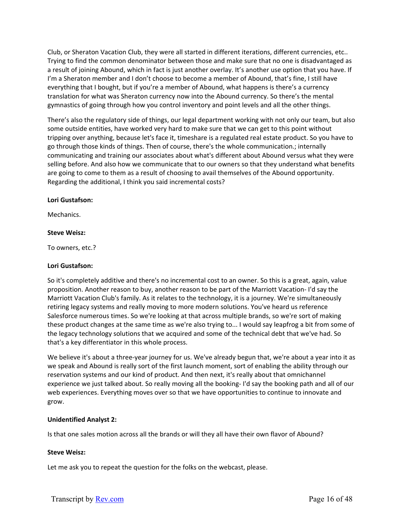Club, or Sheraton Vacation Club, they were all started in different iterations, different currencies, etc.. Trying to find the common denominator between those and make sure that no one is disadvantaged as a result of joining Abound, which in fact is just another overlay. It's another use option that you have. If I'm a Sheraton member and I don't choose to become a member of Abound, that's fine, I still have everything that I bought, but if you're a member of Abound, what happens is there's a currency translation for what was Sheraton currency now into the Abound currency. So there's the mental gymnastics of going through how you control inventory and point levels and all the other things.

There's also the regulatory side of things, our legal department working with not only our team, but also some outside entities, have worked very hard to make sure that we can get to this point without tripping over anything, because let's face it, timeshare is a regulated real estate product. So you have to go through those kinds of things. Then of course, there's the whole communication.; internally communicating and training our associates about what's different about Abound versus what they were selling before. And also how we communicate that to our owners so that they understand what benefits are going to come to them as a result of choosing to avail themselves of the Abound opportunity. Regarding the additional, I think you said incremental costs?

### **Lori Gustafson:**

Mechanics.

### **Steve Weisz:**

To owners, etc.?

# **Lori Gustafson:**

So it's completely additive and there's no incremental cost to an owner. So this is a great, again, value proposition. Another reason to buy, another reason to be part of the Marriott Vacation‐ I'd say the Marriott Vacation Club's family. As it relates to the technology, it is a journey. We're simultaneously retiring legacy systems and really moving to more modern solutions. You've heard us reference Salesforce numerous times. So we're looking at that across multiple brands, so we're sort of making these product changes at the same time as we're also trying to... I would say leapfrog a bit from some of the legacy technology solutions that we acquired and some of the technical debt that we've had. So that's a key differentiator in this whole process.

We believe it's about a three-year journey for us. We've already begun that, we're about a year into it as we speak and Abound is really sort of the first launch moment, sort of enabling the ability through our reservation systems and our kind of product. And then next, it's really about that omnichannel experience we just talked about. So really moving all the booking- I'd say the booking path and all of our web experiences. Everything moves over so that we have opportunities to continue to innovate and grow.

# **Unidentified Analyst 2:**

Is that one sales motion across all the brands or will they all have their own flavor of Abound?

# **Steve Weisz:**

Let me ask you to repeat the question for the folks on the webcast, please.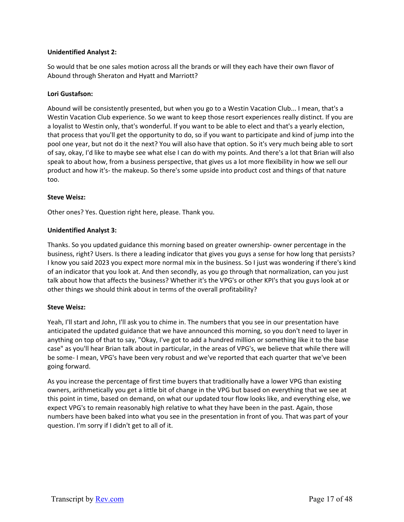# **Unidentified Analyst 2:**

So would that be one sales motion across all the brands or will they each have their own flavor of Abound through Sheraton and Hyatt and Marriott?

### **Lori Gustafson:**

Abound will be consistently presented, but when you go to a Westin Vacation Club... I mean, that's a Westin Vacation Club experience. So we want to keep those resort experiences really distinct. If you are a loyalist to Westin only, that's wonderful. If you want to be able to elect and that's a yearly election, that process that you'll get the opportunity to do, so if you want to participate and kind of jump into the pool one year, but not do it the next? You will also have that option. So it's very much being able to sort of say, okay, I'd like to maybe see what else I can do with my points. And there's a lot that Brian will also speak to about how, from a business perspective, that gives us a lot more flexibility in how we sell our product and how it's‐ the makeup. So there's some upside into product cost and things of that nature too.

### **Steve Weisz:**

Other ones? Yes. Question right here, please. Thank you.

### **Unidentified Analyst 3:**

Thanks. So you updated guidance this morning based on greater ownership‐ owner percentage in the business, right? Users. Is there a leading indicator that gives you guys a sense for how long that persists? I know you said 2023 you expect more normal mix in the business. So I just was wondering if there's kind of an indicator that you look at. And then secondly, as you go through that normalization, can you just talk about how that affects the business? Whether it's the VPG's or other KPI's that you guys look at or other things we should think about in terms of the overall profitability?

#### **Steve Weisz:**

Yeah, I'll start and John, I'll ask you to chime in. The numbers that you see in our presentation have anticipated the updated guidance that we have announced this morning, so you don't need to layer in anything on top of that to say, "Okay, I've got to add a hundred million or something like it to the base case" as you'll hear Brian talk about in particular, in the areas of VPG's, we believe that while there will be some‐ I mean, VPG's have been very robust and we've reported that each quarter that we've been going forward.

As you increase the percentage of first time buyers that traditionally have a lower VPG than existing owners, arithmetically you get a little bit of change in the VPG but based on everything that we see at this point in time, based on demand, on what our updated tour flow looks like, and everything else, we expect VPG's to remain reasonably high relative to what they have been in the past. Again, those numbers have been baked into what you see in the presentation in front of you. That was part of your question. I'm sorry if I didn't get to all of it.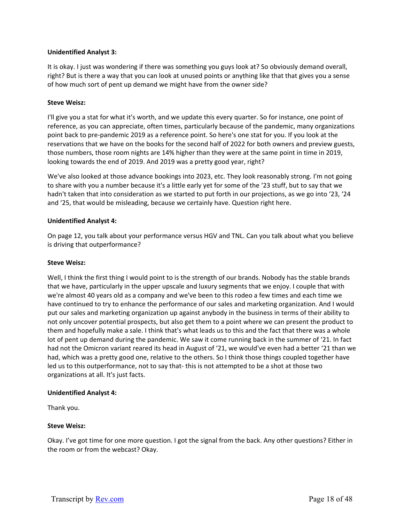# **Unidentified Analyst 3:**

It is okay. I just was wondering if there was something you guys look at? So obviously demand overall, right? But is there a way that you can look at unused points or anything like that that gives you a sense of how much sort of pent up demand we might have from the owner side?

#### **Steve Weisz:**

I'll give you a stat for what it's worth, and we update this every quarter. So for instance, one point of reference, as you can appreciate, often times, particularly because of the pandemic, many organizations point back to pre‐pandemic 2019 as a reference point. So here's one stat for you. If you look at the reservations that we have on the books for the second half of 2022 for both owners and preview guests, those numbers, those room nights are 14% higher than they were at the same point in time in 2019, looking towards the end of 2019. And 2019 was a pretty good year, right?

We've also looked at those advance bookings into 2023, etc. They look reasonably strong. I'm not going to share with you a number because it's a little early yet for some of the '23 stuff, but to say that we hadn't taken that into consideration as we started to put forth in our projections, as we go into '23, '24 and '25, that would be misleading, because we certainly have. Question right here.

### **Unidentified Analyst 4:**

On page 12, you talk about your performance versus HGV and TNL. Can you talk about what you believe is driving that outperformance?

#### **Steve Weisz:**

Well, I think the first thing I would point to is the strength of our brands. Nobody has the stable brands that we have, particularly in the upper upscale and luxury segments that we enjoy. I couple that with we're almost 40 years old as a company and we've been to this rodeo a few times and each time we have continued to try to enhance the performance of our sales and marketing organization. And I would put our sales and marketing organization up against anybody in the business in terms of their ability to not only uncover potential prospects, but also get them to a point where we can present the product to them and hopefully make a sale. I think that's what leads us to this and the fact that there was a whole lot of pent up demand during the pandemic. We saw it come running back in the summer of '21. In fact had not the Omicron variant reared its head in August of '21, we would've even had a better '21 than we had, which was a pretty good one, relative to the others. So I think those things coupled together have led us to this outperformance, not to say that-this is not attempted to be a shot at those two organizations at all. It's just facts.

#### **Unidentified Analyst 4:**

Thank you.

#### **Steve Weisz:**

Okay. I've got time for one more question. I got the signal from the back. Any other questions? Either in the room or from the webcast? Okay.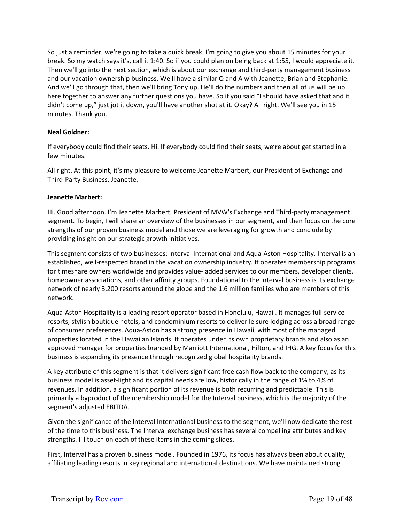So just a reminder, we're going to take a quick break. I'm going to give you about 15 minutes for your break. So my watch says it's, call it 1:40. So if you could plan on being back at 1:55, I would appreciate it. Then we'll go into the next section, which is about our exchange and third-party management business and our vacation ownership business. We'll have a similar Q and A with Jeanette, Brian and Stephanie. And we'll go through that, then we'll bring Tony up. He'll do the numbers and then all of us will be up here together to answer any further questions you have. So if you said "I should have asked that and it didn't come up," just jot it down, you'll have another shot at it. Okay? All right. We'll see you in 15 minutes. Thank you.

# **Neal Goldner:**

If everybody could find their seats. Hi. If everybody could find their seats, we're about get started in a few minutes.

All right. At this point, it's my pleasure to welcome Jeanette Marbert, our President of Exchange and Third‐Party Business. Jeanette.

# **Jeanette Marbert:**

Hi. Good afternoon. I'm Jeanette Marbert, President of MVW's Exchange and Third-party management segment. To begin, I will share an overview of the businesses in our segment, and then focus on the core strengths of our proven business model and those we are leveraging for growth and conclude by providing insight on our strategic growth initiatives.

This segment consists of two businesses: Interval International and Aqua‐Aston Hospitality. Interval is an established, well‐respected brand in the vacation ownership industry. It operates membership programs for timeshare owners worldwide and provides value‐ added services to our members, developer clients, homeowner associations, and other affinity groups. Foundational to the Interval business is its exchange network of nearly 3,200 resorts around the globe and the 1.6 million families who are members of this network.

Aqua‐Aston Hospitality is a leading resort operator based in Honolulu, Hawaii. It manages full‐service resorts, stylish boutique hotels, and condominium resorts to deliver leisure lodging across a broad range of consumer preferences. Aqua‐Aston has a strong presence in Hawaii, with most of the managed properties located in the Hawaiian Islands. It operates under its own proprietary brands and also as an approved manager for properties branded by Marriott International, Hilton, and IHG. A key focus for this business is expanding its presence through recognized global hospitality brands.

A key attribute of this segment is that it delivers significant free cash flow back to the company, as its business model is asset-light and its capital needs are low, historically in the range of 1% to 4% of revenues. In addition, a significant portion of its revenue is both recurring and predictable. This is primarily a byproduct of the membership model for the Interval business, which is the majority of the segment's adjusted EBITDA.

Given the significance of the Interval International business to the segment, we'll now dedicate the rest of the time to this business. The Interval exchange business has several compelling attributes and key strengths. I'll touch on each of these items in the coming slides.

First, Interval has a proven business model. Founded in 1976, its focus has always been about quality, affiliating leading resorts in key regional and international destinations. We have maintained strong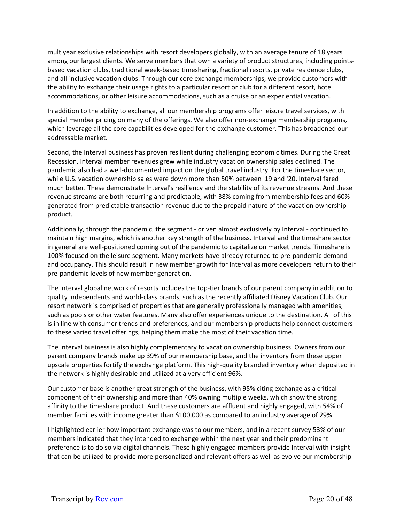multiyear exclusive relationships with resort developers globally, with an average tenure of 18 years among our largest clients. We serve members that own a variety of product structures, including pointsbased vacation clubs, traditional week‐based timesharing, fractional resorts, private residence clubs, and all-inclusive vacation clubs. Through our core exchange memberships, we provide customers with the ability to exchange their usage rights to a particular resort or club for a different resort, hotel accommodations, or other leisure accommodations, such as a cruise or an experiential vacation.

In addition to the ability to exchange, all our membership programs offer leisure travel services, with special member pricing on many of the offerings. We also offer non-exchange membership programs, which leverage all the core capabilities developed for the exchange customer. This has broadened our addressable market.

Second, the Interval business has proven resilient during challenging economic times. During the Great Recession, Interval member revenues grew while industry vacation ownership sales declined. The pandemic also had a well-documented impact on the global travel industry. For the timeshare sector, while U.S. vacation ownership sales were down more than 50% between '19 and '20, Interval fared much better. These demonstrate Interval's resiliency and the stability of its revenue streams. And these revenue streams are both recurring and predictable, with 38% coming from membership fees and 60% generated from predictable transaction revenue due to the prepaid nature of the vacation ownership product.

Additionally, through the pandemic, the segment ‐ driven almost exclusively by Interval ‐ continued to maintain high margins, which is another key strength of the business. Interval and the timeshare sector in general are well-positioned coming out of the pandemic to capitalize on market trends. Timeshare is 100% focused on the leisure segment. Many markets have already returned to pre‐pandemic demand and occupancy. This should result in new member growth for Interval as more developers return to their pre‐pandemic levels of new member generation.

The Interval global network of resorts includes the top‐tier brands of our parent company in addition to quality independents and world‐class brands, such as the recently affiliated Disney Vacation Club. Our resort network is comprised of properties that are generally professionally managed with amenities, such as pools or other water features. Many also offer experiences unique to the destination. All of this is in line with consumer trends and preferences, and our membership products help connect customers to these varied travel offerings, helping them make the most of their vacation time.

The Interval business is also highly complementary to vacation ownership business. Owners from our parent company brands make up 39% of our membership base, and the inventory from these upper upscale properties fortify the exchange platform. This high‐quality branded inventory when deposited in the network is highly desirable and utilized at a very efficient 96%.

Our customer base is another great strength of the business, with 95% citing exchange as a critical component of their ownership and more than 40% owning multiple weeks, which show the strong affinity to the timeshare product. And these customers are affluent and highly engaged, with 54% of member families with income greater than \$100,000 as compared to an industry average of 29%.

I highlighted earlier how important exchange was to our members, and in a recent survey 53% of our members indicated that they intended to exchange within the next year and their predominant preference is to do so via digital channels. These highly engaged members provide Interval with insight that can be utilized to provide more personalized and relevant offers as well as evolve our membership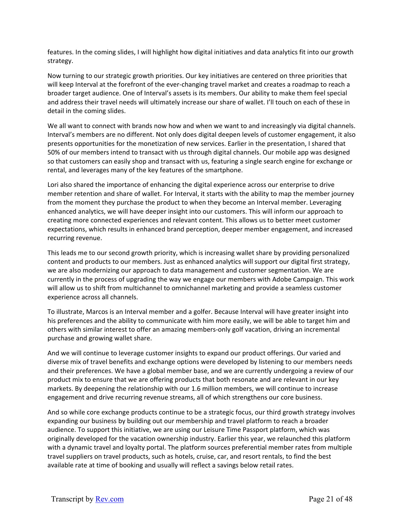features. In the coming slides, I will highlight how digital initiatives and data analytics fit into our growth strategy.

Now turning to our strategic growth priorities. Our key initiatives are centered on three priorities that will keep Interval at the forefront of the ever-changing travel market and creates a roadmap to reach a broader target audience. One of Interval's assets is its members. Our ability to make them feel special and address their travel needs will ultimately increase our share of wallet. I'll touch on each of these in detail in the coming slides.

We all want to connect with brands now how and when we want to and increasingly via digital channels. Interval's members are no different. Not only does digital deepen levels of customer engagement, it also presents opportunities for the monetization of new services. Earlier in the presentation, I shared that 50% of our members intend to transact with us through digital channels. Our mobile app was designed so that customers can easily shop and transact with us, featuring a single search engine for exchange or rental, and leverages many of the key features of the smartphone.

Lori also shared the importance of enhancing the digital experience across our enterprise to drive member retention and share of wallet. For Interval, it starts with the ability to map the member journey from the moment they purchase the product to when they become an Interval member. Leveraging enhanced analytics, we will have deeper insight into our customers. This will inform our approach to creating more connected experiences and relevant content. This allows us to better meet customer expectations, which results in enhanced brand perception, deeper member engagement, and increased recurring revenue.

This leads me to our second growth priority, which is increasing wallet share by providing personalized content and products to our members. Just as enhanced analytics will support our digital first strategy, we are also modernizing our approach to data management and customer segmentation. We are currently in the process of upgrading the way we engage our members with Adobe Campaign. This work will allow us to shift from multichannel to omnichannel marketing and provide a seamless customer experience across all channels.

To illustrate, Marcos is an Interval member and a golfer. Because Interval will have greater insight into his preferences and the ability to communicate with him more easily, we will be able to target him and others with similar interest to offer an amazing members‐only golf vacation, driving an incremental purchase and growing wallet share.

And we will continue to leverage customer insights to expand our product offerings. Our varied and diverse mix of travel benefits and exchange options were developed by listening to our members needs and their preferences. We have a global member base, and we are currently undergoing a review of our product mix to ensure that we are offering products that both resonate and are relevant in our key markets. By deepening the relationship with our 1.6 million members, we will continue to increase engagement and drive recurring revenue streams, all of which strengthens our core business.

And so while core exchange products continue to be a strategic focus, our third growth strategy involves expanding our business by building out our membership and travel platform to reach a broader audience. To support this initiative, we are using our Leisure Time Passport platform, which was originally developed for the vacation ownership industry. Earlier this year, we relaunched this platform with a dynamic travel and loyalty portal. The platform sources preferential member rates from multiple travel suppliers on travel products, such as hotels, cruise, car, and resort rentals, to find the best available rate at time of booking and usually will reflect a savings below retail rates.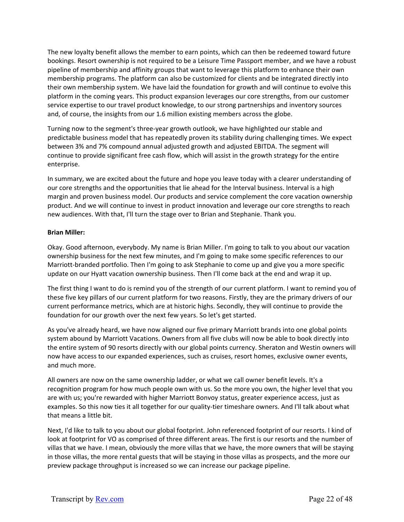The new loyalty benefit allows the member to earn points, which can then be redeemed toward future bookings. Resort ownership is not required to be a Leisure Time Passport member, and we have a robust pipeline of membership and affinity groups that want to leverage this platform to enhance their own membership programs. The platform can also be customized for clients and be integrated directly into their own membership system. We have laid the foundation for growth and will continue to evolve this platform in the coming years. This product expansion leverages our core strengths, from our customer service expertise to our travel product knowledge, to our strong partnerships and inventory sources and, of course, the insights from our 1.6 million existing members across the globe.

Turning now to the segment's three‐year growth outlook, we have highlighted our stable and predictable business model that has repeatedly proven its stability during challenging times. We expect between 3% and 7% compound annual adjusted growth and adjusted EBITDA. The segment will continue to provide significant free cash flow, which will assist in the growth strategy for the entire enterprise.

In summary, we are excited about the future and hope you leave today with a clearer understanding of our core strengths and the opportunities that lie ahead for the Interval business. Interval is a high margin and proven business model. Our products and service complement the core vacation ownership product. And we will continue to invest in product innovation and leverage our core strengths to reach new audiences. With that, I'll turn the stage over to Brian and Stephanie. Thank you.

# **Brian Miller:**

Okay. Good afternoon, everybody. My name is Brian Miller. I'm going to talk to you about our vacation ownership business for the next few minutes, and I'm going to make some specific references to our Marriott-branded portfolio. Then I'm going to ask Stephanie to come up and give you a more specific update on our Hyatt vacation ownership business. Then I'll come back at the end and wrap it up.

The first thing I want to do is remind you of the strength of our current platform. I want to remind you of these five key pillars of our current platform for two reasons. Firstly, they are the primary drivers of our current performance metrics, which are at historic highs. Secondly, they will continue to provide the foundation for our growth over the next few years. So let's get started.

As you've already heard, we have now aligned our five primary Marriott brands into one global points system abound by Marriott Vacations. Owners from all five clubs will now be able to book directly into the entire system of 90 resorts directly with our global points currency. Sheraton and Westin owners will now have access to our expanded experiences, such as cruises, resort homes, exclusive owner events, and much more.

All owners are now on the same ownership ladder, or what we call owner benefit levels. It's a recognition program for how much people own with us. So the more you own, the higher level that you are with us; you're rewarded with higher Marriott Bonvoy status, greater experience access, just as examples. So this now ties it all together for our quality-tier timeshare owners. And I'll talk about what that means a little bit.

Next, I'd like to talk to you about our global footprint. John referenced footprint of our resorts. I kind of look at footprint for VO as comprised of three different areas. The first is our resorts and the number of villas that we have. I mean, obviously the more villas that we have, the more owners that will be staying in those villas, the more rental guests that will be staying in those villas as prospects, and the more our preview package throughput is increased so we can increase our package pipeline.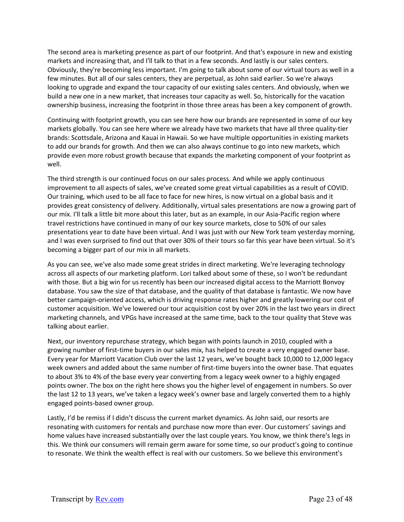The second area is marketing presence as part of our footprint. And that's exposure in new and existing markets and increasing that, and I'll talk to that in a few seconds. And lastly is our sales centers. Obviously, they're becoming less important. I'm going to talk about some of our virtual tours as well in a few minutes. But all of our sales centers, they are perpetual, as John said earlier. So we're always looking to upgrade and expand the tour capacity of our existing sales centers. And obviously, when we build a new one in a new market, that increases tour capacity as well. So, historically for the vacation ownership business, increasing the footprint in those three areas has been a key component of growth.

Continuing with footprint growth, you can see here how our brands are represented in some of our key markets globally. You can see here where we already have two markets that have all three quality‐tier brands: Scottsdale, Arizona and Kauai in Hawaii. So we have multiple opportunities in existing markets to add our brands for growth. And then we can also always continue to go into new markets, which provide even more robust growth because that expands the marketing component of your footprint as well.

The third strength is our continued focus on our sales process. And while we apply continuous improvement to all aspects of sales, we've created some great virtual capabilities as a result of COVID. Our training, which used to be all face to face for new hires, is now virtual on a global basis and it provides great consistency of delivery. Additionally, virtual sales presentations are now a growing part of our mix. I'll talk a little bit more about this later, but as an example, in our Asia‐Pacific region where travel restrictions have continued in many of our key source markets, close to 50% of our sales presentations year to date have been virtual. And I was just with our New York team yesterday morning, and I was even surprised to find out that over 30% of their tours so far this year have been virtual. So it's becoming a bigger part of our mix in all markets.

As you can see, we've also made some great strides in direct marketing. We're leveraging technology across all aspects of our marketing platform. Lori talked about some of these, so I won't be redundant with those. But a big win for us recently has been our increased digital access to the Marriott Bonvoy database. You saw the size of that database, and the quality of that database is fantastic. We now have better campaign-oriented access, which is driving response rates higher and greatly lowering our cost of customer acquisition. We've lowered our tour acquisition cost by over 20% in the last two years in direct marketing channels, and VPGs have increased at the same time, back to the tour quality that Steve was talking about earlier.

Next, our inventory repurchase strategy, which began with points launch in 2010, coupled with a growing number of first-time buyers in our sales mix, has helped to create a very engaged owner base. Every year for Marriott Vacation Club over the last 12 years, we've bought back 10,000 to 12,000 legacy week owners and added about the same number of first-time buyers into the owner base. That equates to about 3% to 4% of the base every year converting from a legacy week owner to a highly engaged points owner. The box on the right here shows you the higher level of engagement in numbers. So over the last 12 to 13 years, we've taken a legacy week's owner base and largely converted them to a highly engaged points‐based owner group.

Lastly, I'd be remiss if I didn't discuss the current market dynamics. As John said, our resorts are resonating with customers for rentals and purchase now more than ever. Our customers' savings and home values have increased substantially over the last couple years. You know, we think there's legs in this. We think our consumers will remain germ aware for some time, so our product's going to continue to resonate. We think the wealth effect is real with our customers. So we believe this environment's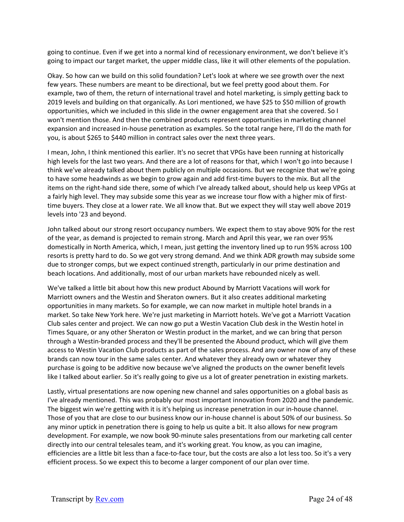going to continue. Even if we get into a normal kind of recessionary environment, we don't believe it's going to impact our target market, the upper middle class, like it will other elements of the population.

Okay. So how can we build on this solid foundation? Let's look at where we see growth over the next few years. These numbers are meant to be directional, but we feel pretty good about them. For example, two of them, the return of international travel and hotel marketing, is simply getting back to 2019 levels and building on that organically. As Lori mentioned, we have \$25 to \$50 million of growth opportunities, which we included in this slide in the owner engagement area that she covered. So I won't mention those. And then the combined products represent opportunities in marketing channel expansion and increased in‐house penetration as examples. So the total range here, I'll do the math for you, is about \$265 to \$440 million in contract sales over the next three years.

I mean, John, I think mentioned this earlier. It's no secret that VPGs have been running at historically high levels for the last two years. And there are a lot of reasons for that, which I won't go into because I think we've already talked about them publicly on multiple occasions. But we recognize that we're going to have some headwinds as we begin to grow again and add first‐time buyers to the mix. But all the items on the right‐hand side there, some of which I've already talked about, should help us keep VPGs at a fairly high level. They may subside some this year as we increase tour flow with a higher mix of firsttime buyers. They close at a lower rate. We all know that. But we expect they will stay well above 2019 levels into '23 and beyond.

John talked about our strong resort occupancy numbers. We expect them to stay above 90% for the rest of the year, as demand is projected to remain strong. March and April this year, we ran over 95% domestically in North America, which, I mean, just getting the inventory lined up to run 95% across 100 resorts is pretty hard to do. So we got very strong demand. And we think ADR growth may subside some due to stronger comps, but we expect continued strength, particularly in our prime destination and beach locations. And additionally, most of our urban markets have rebounded nicely as well.

We've talked a little bit about how this new product Abound by Marriott Vacations will work for Marriott owners and the Westin and Sheraton owners. But it also creates additional marketing opportunities in many markets. So for example, we can now market in multiple hotel brands in a market. So take New York here. We're just marketing in Marriott hotels. We've got a Marriott Vacation Club sales center and project. We can now go put a Westin Vacation Club desk in the Westin hotel in Times Square, or any other Sheraton or Westin product in the market, and we can bring that person through a Westin‐branded process and they'll be presented the Abound product, which will give them access to Westin Vacation Club products as part of the sales process. And any owner now of any of these brands can now tour in the same sales center. And whatever they already own or whatever they purchase is going to be additive now because we've aligned the products on the owner benefit levels like I talked about earlier. So it's really going to give us a lot of greater penetration in existing markets.

Lastly, virtual presentations are now opening new channel and sales opportunities on a global basis as I've already mentioned. This was probably our most important innovation from 2020 and the pandemic. The biggest win we're getting with it is it's helping us increase penetration in our in‐house channel. Those of you that are close to our business know our in‐house channel is about 50% of our business. So any minor uptick in penetration there is going to help us quite a bit. It also allows for new program development. For example, we now book 90‐minute sales presentations from our marketing call center directly into our central telesales team, and it's working great. You know, as you can imagine, efficiencies are a little bit less than a face-to-face tour, but the costs are also a lot less too. So it's a very efficient process. So we expect this to become a larger component of our plan over time.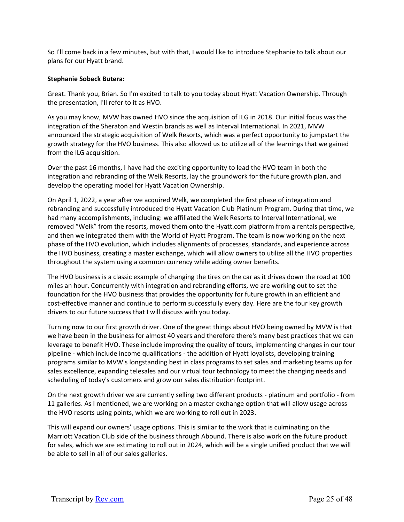So I'll come back in a few minutes, but with that, I would like to introduce Stephanie to talk about our plans for our Hyatt brand.

#### **Stephanie Sobeck Butera:**

Great. Thank you, Brian. So I'm excited to talk to you today about Hyatt Vacation Ownership. Through the presentation, I'll refer to it as HVO.

As you may know, MVW has owned HVO since the acquisition of ILG in 2018. Our initial focus was the integration of the Sheraton and Westin brands as well as Interval International. In 2021, MVW announced the strategic acquisition of Welk Resorts, which was a perfect opportunity to jumpstart the growth strategy for the HVO business. This also allowed us to utilize all of the learnings that we gained from the ILG acquisition.

Over the past 16 months, I have had the exciting opportunity to lead the HVO team in both the integration and rebranding of the Welk Resorts, lay the groundwork for the future growth plan, and develop the operating model for Hyatt Vacation Ownership.

On April 1, 2022, a year after we acquired Welk, we completed the first phase of integration and rebranding and successfully introduced the Hyatt Vacation Club Platinum Program. During that time, we had many accomplishments, including: we affiliated the Welk Resorts to Interval International, we removed "Welk" from the resorts, moved them onto the Hyatt.com platform from a rentals perspective, and then we integrated them with the World of Hyatt Program. The team is now working on the next phase of the HVO evolution, which includes alignments of processes, standards, and experience across the HVO business, creating a master exchange, which will allow owners to utilize all the HVO properties throughout the system using a common currency while adding owner benefits.

The HVO business is a classic example of changing the tires on the car as it drives down the road at 100 miles an hour. Concurrently with integration and rebranding efforts, we are working out to set the foundation for the HVO business that provides the opportunity for future growth in an efficient and cost-effective manner and continue to perform successfully every day. Here are the four key growth drivers to our future success that I will discuss with you today.

Turning now to our first growth driver. One of the great things about HVO being owned by MVW is that we have been in the business for almost 40 years and therefore there's many best practices that we can leverage to benefit HVO. These include improving the quality of tours, implementing changes in our tour pipeline ‐ which include income qualifications ‐ the addition of Hyatt loyalists, developing training programs similar to MVW's longstanding best in class programs to set sales and marketing teams up for sales excellence, expanding telesales and our virtual tour technology to meet the changing needs and scheduling of today's customers and grow our sales distribution footprint.

On the next growth driver we are currently selling two different products ‐ platinum and portfolio ‐ from 11 galleries. As I mentioned, we are working on a master exchange option that will allow usage across the HVO resorts using points, which we are working to roll out in 2023.

This will expand our owners' usage options. This is similar to the work that is culminating on the Marriott Vacation Club side of the business through Abound. There is also work on the future product for sales, which we are estimating to roll out in 2024, which will be a single unified product that we will be able to sell in all of our sales galleries.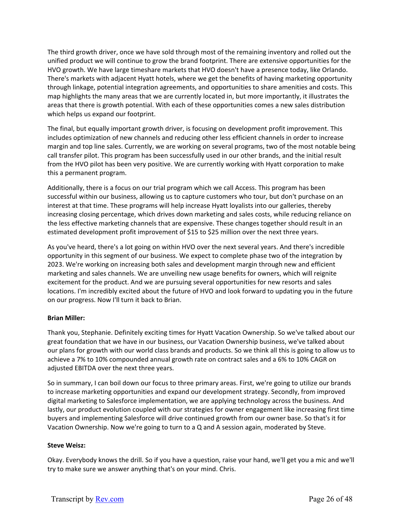The third growth driver, once we have sold through most of the remaining inventory and rolled out the unified product we will continue to grow the brand footprint. There are extensive opportunities for the HVO growth. We have large timeshare markets that HVO doesn't have a presence today, like Orlando. There's markets with adjacent Hyatt hotels, where we get the benefits of having marketing opportunity through linkage, potential integration agreements, and opportunities to share amenities and costs. This map highlights the many areas that we are currently located in, but more importantly, it illustrates the areas that there is growth potential. With each of these opportunities comes a new sales distribution which helps us expand our footprint.

The final, but equally important growth driver, is focusing on development profit improvement. This includes optimization of new channels and reducing other less efficient channels in order to increase margin and top line sales. Currently, we are working on several programs, two of the most notable being call transfer pilot. This program has been successfully used in our other brands, and the initial result from the HVO pilot has been very positive. We are currently working with Hyatt corporation to make this a permanent program.

Additionally, there is a focus on our trial program which we call Access. This program has been successful within our business, allowing us to capture customers who tour, but don't purchase on an interest at that time. These programs will help increase Hyatt loyalists into our galleries, thereby increasing closing percentage, which drives down marketing and sales costs, while reducing reliance on the less effective marketing channels that are expensive. These changes together should result in an estimated development profit improvement of \$15 to \$25 million over the next three years.

As you've heard, there's a lot going on within HVO over the next several years. And there's incredible opportunity in this segment of our business. We expect to complete phase two of the integration by 2023. We're working on increasing both sales and development margin through new and efficient marketing and sales channels. We are unveiling new usage benefits for owners, which will reignite excitement for the product. And we are pursuing several opportunities for new resorts and sales locations. I'm incredibly excited about the future of HVO and look forward to updating you in the future on our progress. Now I'll turn it back to Brian.

# **Brian Miller:**

Thank you, Stephanie. Definitely exciting times for Hyatt Vacation Ownership. So we've talked about our great foundation that we have in our business, our Vacation Ownership business, we've talked about our plans for growth with our world class brands and products. So we think all this is going to allow us to achieve a 7% to 10% compounded annual growth rate on contract sales and a 6% to 10% CAGR on adjusted EBITDA over the next three years.

So in summary, I can boil down our focus to three primary areas. First, we're going to utilize our brands to increase marketing opportunities and expand our development strategy. Secondly, from improved digital marketing to Salesforce implementation, we are applying technology across the business. And lastly, our product evolution coupled with our strategies for owner engagement like increasing first time buyers and implementing Salesforce will drive continued growth from our owner base. So that's it for Vacation Ownership. Now we're going to turn to a Q and A session again, moderated by Steve.

# **Steve Weisz:**

Okay. Everybody knows the drill. So if you have a question, raise your hand, we'll get you a mic and we'll try to make sure we answer anything that's on your mind. Chris.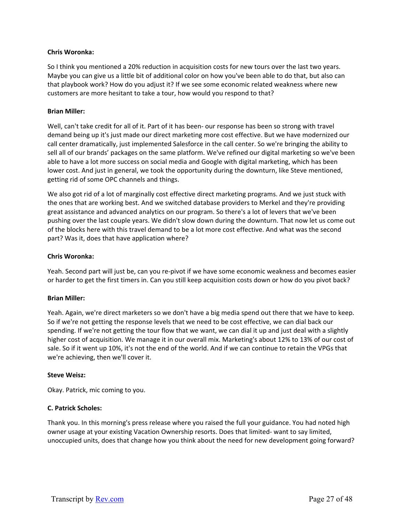### **Chris Woronka:**

So I think you mentioned a 20% reduction in acquisition costs for new tours over the last two years. Maybe you can give us a little bit of additional color on how you've been able to do that, but also can that playbook work? How do you adjust it? If we see some economic related weakness where new customers are more hesitant to take a tour, how would you respond to that?

### **Brian Miller:**

Well, can't take credit for all of it. Part of it has been- our response has been so strong with travel demand being up it's just made our direct marketing more cost effective. But we have modernized our call center dramatically, just implemented Salesforce in the call center. So we're bringing the ability to sell all of our brands' packages on the same platform. We've refined our digital marketing so we've been able to have a lot more success on social media and Google with digital marketing, which has been lower cost. And just in general, we took the opportunity during the downturn, like Steve mentioned, getting rid of some OPC channels and things.

We also got rid of a lot of marginally cost effective direct marketing programs. And we just stuck with the ones that are working best. And we switched database providers to Merkel and they're providing great assistance and advanced analytics on our program. So there's a lot of levers that we've been pushing over the last couple years. We didn't slow down during the downturn. That now let us come out of the blocks here with this travel demand to be a lot more cost effective. And what was the second part? Was it, does that have application where?

### **Chris Woronka:**

Yeah. Second part will just be, can you re‐pivot if we have some economic weakness and becomes easier or harder to get the first timers in. Can you still keep acquisition costs down or how do you pivot back?

#### **Brian Miller:**

Yeah. Again, we're direct marketers so we don't have a big media spend out there that we have to keep. So if we're not getting the response levels that we need to be cost effective, we can dial back our spending. If we're not getting the tour flow that we want, we can dial it up and just deal with a slightly higher cost of acquisition. We manage it in our overall mix. Marketing's about 12% to 13% of our cost of sale. So if it went up 10%, it's not the end of the world. And if we can continue to retain the VPGs that we're achieving, then we'll cover it.

#### **Steve Weisz:**

Okay. Patrick, mic coming to you.

### **C. Patrick Scholes:**

Thank you. In this morning's press release where you raised the full your guidance. You had noted high owner usage at your existing Vacation Ownership resorts. Does that limited‐ want to say limited, unoccupied units, does that change how you think about the need for new development going forward?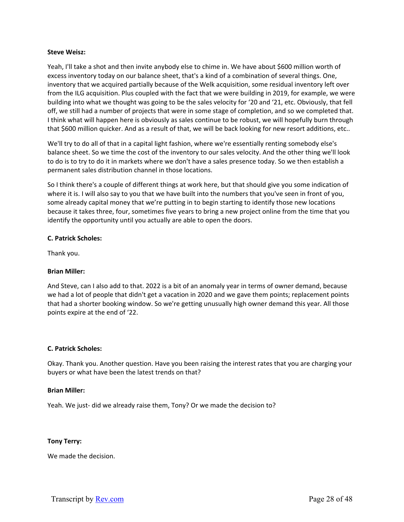### **Steve Weisz:**

Yeah, I'll take a shot and then invite anybody else to chime in. We have about \$600 million worth of excess inventory today on our balance sheet, that's a kind of a combination of several things. One, inventory that we acquired partially because of the Welk acquisition, some residual inventory left over from the ILG acquisition. Plus coupled with the fact that we were building in 2019, for example, we were building into what we thought was going to be the sales velocity for '20 and '21, etc. Obviously, that fell off, we still had a number of projects that were in some stage of completion, and so we completed that. I think what will happen here is obviously as sales continue to be robust, we will hopefully burn through that \$600 million quicker. And as a result of that, we will be back looking for new resort additions, etc..

We'll try to do all of that in a capital light fashion, where we're essentially renting somebody else's balance sheet. So we time the cost of the inventory to our sales velocity. And the other thing we'll look to do is to try to do it in markets where we don't have a sales presence today. So we then establish a permanent sales distribution channel in those locations.

So I think there's a couple of different things at work here, but that should give you some indication of where it is. I will also say to you that we have built into the numbers that you've seen in front of you, some already capital money that we're putting in to begin starting to identify those new locations because it takes three, four, sometimes five years to bring a new project online from the time that you identify the opportunity until you actually are able to open the doors.

### **C. Patrick Scholes:**

Thank you.

# **Brian Miller:**

And Steve, can I also add to that. 2022 is a bit of an anomaly year in terms of owner demand, because we had a lot of people that didn't get a vacation in 2020 and we gave them points; replacement points that had a shorter booking window. So we're getting unusually high owner demand this year. All those points expire at the end of '22.

#### **C. Patrick Scholes:**

Okay. Thank you. Another question. Have you been raising the interest rates that you are charging your buyers or what have been the latest trends on that?

#### **Brian Miller:**

Yeah. We just-did we already raise them, Tony? Or we made the decision to?

#### **Tony Terry:**

We made the decision.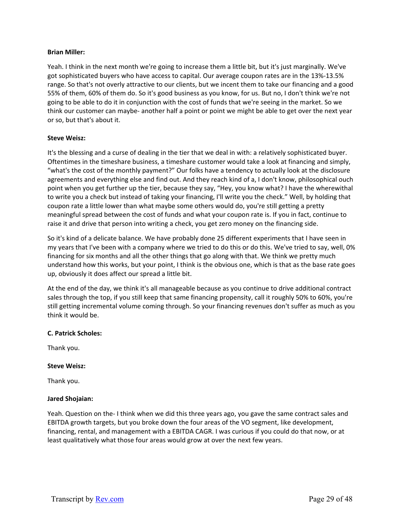### **Brian Miller:**

Yeah. I think in the next month we're going to increase them a little bit, but it's just marginally. We've got sophisticated buyers who have access to capital. Our average coupon rates are in the 13%‐13.5% range. So that's not overly attractive to our clients, but we incent them to take our financing and a good 55% of them, 60% of them do. So it's good business as you know, for us. But no, I don't think we're not going to be able to do it in conjunction with the cost of funds that we're seeing in the market. So we think our customer can maybe‐ another half a point or point we might be able to get over the next year or so, but that's about it.

# **Steve Weisz:**

It's the blessing and a curse of dealing in the tier that we deal in with: a relatively sophisticated buyer. Oftentimes in the timeshare business, a timeshare customer would take a look at financing and simply, "what's the cost of the monthly payment?" Our folks have a tendency to actually look at the disclosure agreements and everything else and find out. And they reach kind of a, I don't know, philosophical ouch point when you get further up the tier, because they say, "Hey, you know what? I have the wherewithal to write you a check but instead of taking your financing, I'll write you the check." Well, by holding that coupon rate a little lower than what maybe some others would do, you're still getting a pretty meaningful spread between the cost of funds and what your coupon rate is. If you in fact, continue to raise it and drive that person into writing a check, you get zero money on the financing side.

So it's kind of a delicate balance. We have probably done 25 different experiments that I have seen in my years that I've been with a company where we tried to do this or do this. We've tried to say, well, 0% financing for six months and all the other things that go along with that. We think we pretty much understand how this works, but your point, I think is the obvious one, which is that as the base rate goes up, obviously it does affect our spread a little bit.

At the end of the day, we think it's all manageable because as you continue to drive additional contract sales through the top, if you still keep that same financing propensity, call it roughly 50% to 60%, you're still getting incremental volume coming through. So your financing revenues don't suffer as much as you think it would be.

# **C. Patrick Scholes:**

Thank you.

# **Steve Weisz:**

Thank you.

#### **Jared Shojaian:**

Yeah. Question on the‐ I think when we did this three years ago, you gave the same contract sales and EBITDA growth targets, but you broke down the four areas of the VO segment, like development, financing, rental, and management with a EBITDA CAGR. I was curious if you could do that now, or at least qualitatively what those four areas would grow at over the next few years.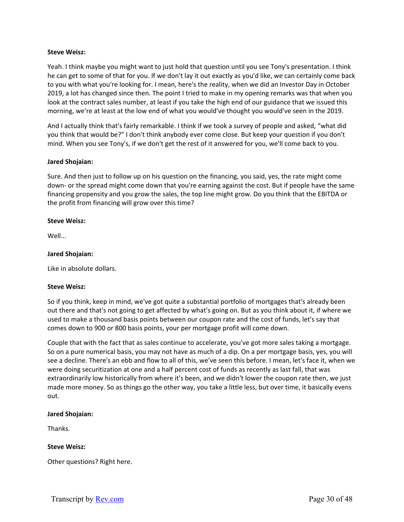### **Steve Weisz:**

Yeah. I think maybe you might want to just hold that question until you see Tony's presentation. I think he can get to some of that for you. If we don't lay it out exactly as you'd like, we can certainly come back to you with what you're looking for. I mean, here's the reality, when we did an Investor Day in October 2019, a lot has changed since then. The point I tried to make in my opening remarks was that when you look at the contract sales number, at least if you take the high end of our guidance that we issued this morning, we're at least at the low end of what you would've thought you would've seen in the 2019.

And I actually think that's fairly remarkable. I think if we took a survey of people and asked, "what did you think that would be?" I don't think anybody ever come close. But keep your question if you don't mind. When you see Tony's, if we don't get the rest of it answered for you, we'll come back to you.

### **Jared Shojaian:**

Sure. And then just to follow up on his question on the financing, you said, yes, the rate might come down‐ or the spread might come down that you're earning against the cost. But if people have the same financing propensity and you grow the sales, the top line might grow. Do you think that the EBITDA or the profit from financing will grow over this time?

### **Steve Weisz:**

Well...

### **Jared Shojaian:**

Like in absolute dollars.

#### **Steve Weisz:**

So if you think, keep in mind, we've got quite a substantial portfolio of mortgages that's already been out there and that's not going to get affected by what's going on. But as you think about it, if where we used to make a thousand basis points between our coupon rate and the cost of funds, let's say that comes down to 900 or 800 basis points, your per mortgage profit will come down.

Couple that with the fact that as sales continue to accelerate, you've got more sales taking a mortgage. So on a pure numerical basis, you may not have as much of a dip. On a per mortgage basis, yes, you will see a decline. There's an ebb and flow to all of this, we've seen this before. I mean, let's face it, when we were doing securitization at one and a half percent cost of funds as recently as last fall, that was extraordinarily low historically from where it's been, and we didn't lower the coupon rate then, we just made more money. So as things go the other way, you take a little less, but over time, it basically evens out.

#### **Jared Shojaian:**

Thanks.

#### **Steve Weisz:**

Other questions? Right here.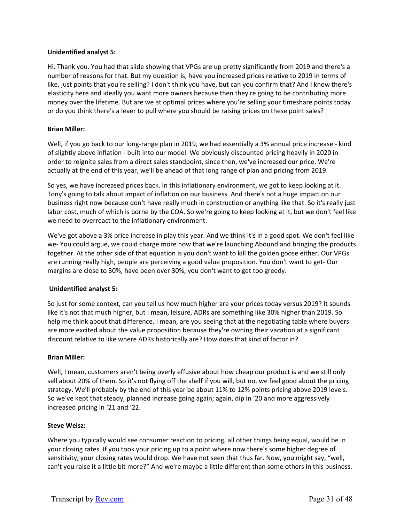# **Unidentified analyst 5:**

Hi. Thank you. You had that slide showing that VPGs are up pretty significantly from 2019 and there's a number of reasons for that. But my question is, have you increased prices relative to 2019 in terms of like, just points that you're selling? I don't think you have, but can you confirm that? And I know there's elasticity here and ideally you want more owners because then they're going to be contributing more money over the lifetime. But are we at optimal prices where you're selling your timeshare points today or do you think there's a lever to pull where you should be raising prices on these point sales?

# **Brian Miller:**

Well, if you go back to our long-range plan in 2019, we had essentially a 3% annual price increase - kind of slightly above inflation ‐ built into our model. We obviously discounted pricing heavily in 2020 in order to reignite sales from a direct sales standpoint, since then, we've increased our price. We're actually at the end of this year, we'll be ahead of that long range of plan and pricing from 2019.

So yes, we have increased prices back. In this inflationary environment, we got to keep looking at it. Tony's going to talk about impact of inflation on our business. And there's not a huge impact on our business right now because don't have really much in construction or anything like that. So it's really just labor cost, much of which is borne by the COA. So we're going to keep looking at it, but we don't feel like we need to overreact to the inflationary environment.

We've got above a 3% price increase in play this year. And we think it's in a good spot. We don't feel like we- You could argue, we could charge more now that we're launching Abound and bringing the products together. At the other side of that equation is you don't want to kill the golden goose either. Our VPGs are running really high, people are perceiving a good value proposition. You don't want to get‐ Our margins are close to 30%, have been over 30%, you don't want to get too greedy.

#### **Unidentified analyst 5:**

So just for some context, can you tell us how much higher are your prices today versus 2019? It sounds like it's not that much higher, but I mean, leisure, ADRs are something like 30% higher than 2019. So help me think about that difference. I mean, are you seeing that at the negotiating table where buyers are more excited about the value proposition because they're owning their vacation at a significant discount relative to like where ADRs historically are? How does that kind of factor in?

#### **Brian Miller:**

Well, I mean, customers aren't being overly effusive about how cheap our product is and we still only sell about 20% of them. So it's not flying off the shelf if you will, but no, we feel good about the pricing strategy. We'll probably by the end of this year be about 11% to 12% points pricing above 2019 levels. So we've kept that steady, planned increase going again; again, dip in '20 and more aggressively increased pricing in '21 and '22.

#### **Steve Weisz:**

Where you typically would see consumer reaction to pricing, all other things being equal, would be in your closing rates. If you took your pricing up to a point where now there's some higher degree of sensitivity, your closing rates would drop. We have not seen that thus far. Now, you might say, "well, can't you raise it a little bit more?" And we're maybe a little different than some others in this business.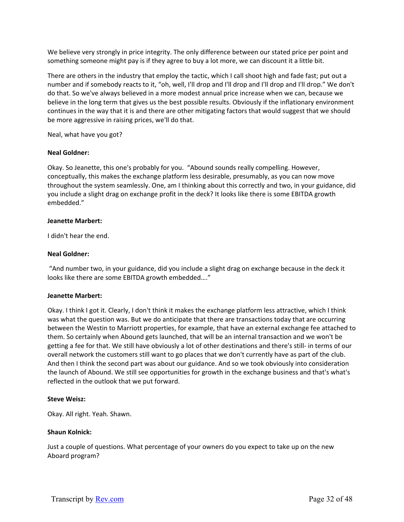We believe very strongly in price integrity. The only difference between our stated price per point and something someone might pay is if they agree to buy a lot more, we can discount it a little bit.

There are others in the industry that employ the tactic, which I call shoot high and fade fast; put out a number and if somebody reacts to it, "oh, well, I'll drop and I'll drop and I'll drop and I'll drop." We don't do that. So we've always believed in a more modest annual price increase when we can, because we believe in the long term that gives us the best possible results. Obviously if the inflationary environment continues in the way that it is and there are other mitigating factors that would suggest that we should be more aggressive in raising prices, we'll do that.

Neal, what have you got?

# **Neal Goldner:**

Okay. So Jeanette, this one's probably for you. "Abound sounds really compelling. However, conceptually, this makes the exchange platform less desirable, presumably, as you can now move throughout the system seamlessly. One, am I thinking about this correctly and two, in your guidance, did you include a slight drag on exchange profit in the deck? It looks like there is some EBITDA growth embedded."

# **Jeanette Marbert:**

I didn't hear the end.

# **Neal Goldner:**

 "And number two, in your guidance, did you include a slight drag on exchange because in the deck it looks like there are some EBITDA growth embedded…."

# **Jeanette Marbert:**

Okay. I think I got it. Clearly, I don't think it makes the exchange platform less attractive, which I think was what the question was. But we do anticipate that there are transactions today that are occurring between the Westin to Marriott properties, for example, that have an external exchange fee attached to them. So certainly when Abound gets launched, that will be an internal transaction and we won't be getting a fee for that. We still have obviously a lot of other destinations and there's still‐ in terms of our overall network the customers still want to go places that we don't currently have as part of the club. And then I think the second part was about our guidance. And so we took obviously into consideration the launch of Abound. We still see opportunities for growth in the exchange business and that's what's reflected in the outlook that we put forward.

# **Steve Weisz:**

Okay. All right. Yeah. Shawn.

#### **Shaun Kolnick:**

Just a couple of questions. What percentage of your owners do you expect to take up on the new Aboard program?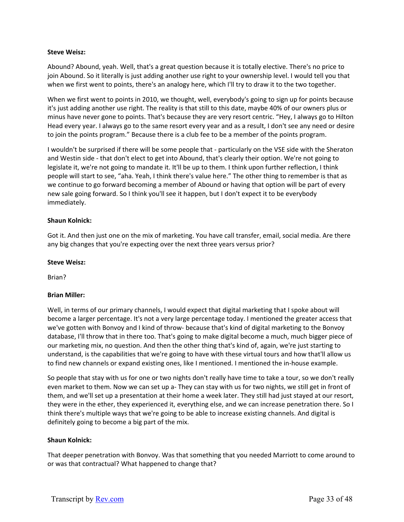### **Steve Weisz:**

Abound? Abound, yeah. Well, that's a great question because it is totally elective. There's no price to join Abound. So it literally is just adding another use right to your ownership level. I would tell you that when we first went to points, there's an analogy here, which I'll try to draw it to the two together.

When we first went to points in 2010, we thought, well, everybody's going to sign up for points because it's just adding another use right. The reality is that still to this date, maybe 40% of our owners plus or minus have never gone to points. That's because they are very resort centric. "Hey, I always go to Hilton Head every year. I always go to the same resort every year and as a result, I don't see any need or desire to join the points program." Because there is a club fee to be a member of the points program.

I wouldn't be surprised if there will be some people that ‐ particularly on the VSE side with the Sheraton and Westin side ‐ that don't elect to get into Abound, that's clearly their option. We're not going to legislate it, we're not going to mandate it. It'll be up to them. I think upon further reflection, I think people will start to see, "aha. Yeah, I think there's value here." The other thing to remember is that as we continue to go forward becoming a member of Abound or having that option will be part of every new sale going forward. So I think you'll see it happen, but I don't expect it to be everybody immediately.

### **Shaun Kolnick:**

Got it. And then just one on the mix of marketing. You have call transfer, email, social media. Are there any big changes that you're expecting over the next three years versus prior?

#### **Steve Weisz:**

Brian?

# **Brian Miller:**

Well, in terms of our primary channels, I would expect that digital marketing that I spoke about will become a larger percentage. It's not a very large percentage today. I mentioned the greater access that we've gotten with Bonvoy and I kind of throw- because that's kind of digital marketing to the Bonvoy database, I'll throw that in there too. That's going to make digital become a much, much bigger piece of our marketing mix, no question. And then the other thing that's kind of, again, we're just starting to understand, is the capabilities that we're going to have with these virtual tours and how that'll allow us to find new channels or expand existing ones, like I mentioned. I mentioned the in‐house example.

So people that stay with us for one or two nights don't really have time to take a tour, so we don't really even market to them. Now we can set up a‐ They can stay with us for two nights, we still get in front of them, and we'll set up a presentation at their home a week later. They still had just stayed at our resort, they were in the ether, they experienced it, everything else, and we can increase penetration there. So I think there's multiple ways that we're going to be able to increase existing channels. And digital is definitely going to become a big part of the mix.

#### **Shaun Kolnick:**

That deeper penetration with Bonvoy. Was that something that you needed Marriott to come around to or was that contractual? What happened to change that?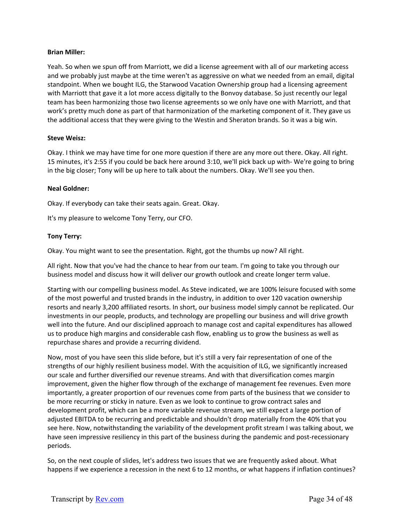### **Brian Miller:**

Yeah. So when we spun off from Marriott, we did a license agreement with all of our marketing access and we probably just maybe at the time weren't as aggressive on what we needed from an email, digital standpoint. When we bought ILG, the Starwood Vacation Ownership group had a licensing agreement with Marriott that gave it a lot more access digitally to the Bonvoy database. So just recently our legal team has been harmonizing those two license agreements so we only have one with Marriott, and that work's pretty much done as part of that harmonization of the marketing component of it. They gave us the additional access that they were giving to the Westin and Sheraton brands. So it was a big win.

### **Steve Weisz:**

Okay. I think we may have time for one more question if there are any more out there. Okay. All right. 15 minutes, it's 2:55 if you could be back here around 3:10, we'll pick back up with‐ We're going to bring in the big closer; Tony will be up here to talk about the numbers. Okay. We'll see you then.

### **Neal Goldner:**

Okay. If everybody can take their seats again. Great. Okay.

It's my pleasure to welcome Tony Terry, our CFO.

### **Tony Terry:**

Okay. You might want to see the presentation. Right, got the thumbs up now? All right.

All right. Now that you've had the chance to hear from our team. I'm going to take you through our business model and discuss how it will deliver our growth outlook and create longer term value.

Starting with our compelling business model. As Steve indicated, we are 100% leisure focused with some of the most powerful and trusted brands in the industry, in addition to over 120 vacation ownership resorts and nearly 3,200 affiliated resorts. In short, our business model simply cannot be replicated. Our investments in our people, products, and technology are propelling our business and will drive growth well into the future. And our disciplined approach to manage cost and capital expenditures has allowed us to produce high margins and considerable cash flow, enabling us to grow the business as well as repurchase shares and provide a recurring dividend.

Now, most of you have seen this slide before, but it's still a very fair representation of one of the strengths of our highly resilient business model. With the acquisition of ILG, we significantly increased our scale and further diversified our revenue streams. And with that diversification comes margin improvement, given the higher flow through of the exchange of management fee revenues. Even more importantly, a greater proportion of our revenues come from parts of the business that we consider to be more recurring or sticky in nature. Even as we look to continue to grow contract sales and development profit, which can be a more variable revenue stream, we still expect a large portion of adjusted EBITDA to be recurring and predictable and shouldn't drop materially from the 40% that you see here. Now, notwithstanding the variability of the development profit stream I was talking about, we have seen impressive resiliency in this part of the business during the pandemic and post-recessionary periods.

So, on the next couple of slides, let's address two issues that we are frequently asked about. What happens if we experience a recession in the next 6 to 12 months, or what happens if inflation continues?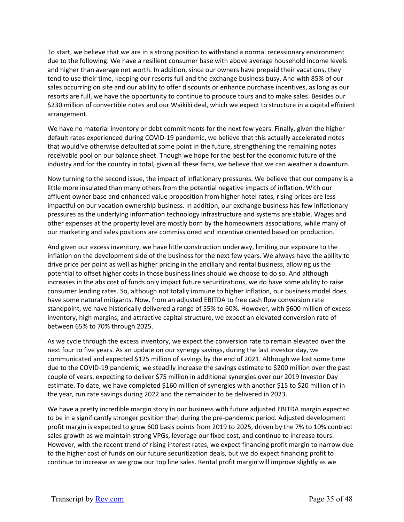To start, we believe that we are in a strong position to withstand a normal recessionary environment due to the following. We have a resilient consumer base with above average household income levels and higher than average net worth. In addition, since our owners have prepaid their vacations, they tend to use their time, keeping our resorts full and the exchange business busy. And with 85% of our sales occurring on site and our ability to offer discounts or enhance purchase incentives, as long as our resorts are full, we have the opportunity to continue to produce tours and to make sales. Besides our \$230 million of convertible notes and our Waikiki deal, which we expect to structure in a capital efficient arrangement.

We have no material inventory or debt commitments for the next few years. Finally, given the higher default rates experienced during COVID‐19 pandemic, we believe that this actually accelerated notes that would've otherwise defaulted at some point in the future, strengthening the remaining notes receivable pool on our balance sheet. Though we hope for the best for the economic future of the industry and for the country in total, given all these facts, we believe that we can weather a downturn.

Now turning to the second issue, the impact of inflationary pressures. We believe that our company is a little more insulated than many others from the potential negative impacts of inflation. With our affluent owner base and enhanced value proposition from higher hotel rates, rising prices are less impactful on our vacation ownership business. In addition, our exchange business has few inflationary pressures as the underlying information technology infrastructure and systems are stable. Wages and other expenses at the property level are mostly born by the homeowners associations, while many of our marketing and sales positions are commissioned and incentive oriented based on production.

And given our excess inventory, we have little construction underway, limiting our exposure to the inflation on the development side of the business for the next few years. We always have the ability to drive price per point as well as higher pricing in the ancillary and rental business, allowing us the potential to offset higher costs in those business lines should we choose to do so. And although increases in the abs cost of funds only impact future securitizations, we do have some ability to raise consumer lending rates. So, although not totally immune to higher inflation, our business model does have some natural mitigants. Now, from an adjusted EBITDA to free cash flow conversion rate standpoint, we have historically delivered a range of 55% to 60%. However, with \$600 million of excess inventory, high margins, and attractive capital structure, we expect an elevated conversion rate of between 65% to 70% through 2025.

As we cycle through the excess inventory, we expect the conversion rate to remain elevated over the next four to five years. As an update on our synergy savings, during the last investor day, we communicated and expected \$125 million of savings by the end of 2021. Although we lost some time due to the COVID‐19 pandemic, we steadily increase the savings estimate to \$200 million over the past couple of years, expecting to deliver \$75 million in additional synergies over our 2019 Investor Day estimate. To date, we have completed \$160 million of synergies with another \$15 to \$20 million of in the year, run rate savings during 2022 and the remainder to be delivered in 2023.

We have a pretty incredible margin story in our business with future adjusted EBITDA margin expected to be in a significantly stronger position than during the pre‐pandemic period. Adjusted development profit margin is expected to grow 600 basis points from 2019 to 2025, driven by the 7% to 10% contract sales growth as we maintain strong VPGs, leverage our fixed cost, and continue to increase tours. However, with the recent trend of rising interest rates, we expect financing profit margin to narrow due to the higher cost of funds on our future securitization deals, but we do expect financing profit to continue to increase as we grow our top line sales. Rental profit margin will improve slightly as we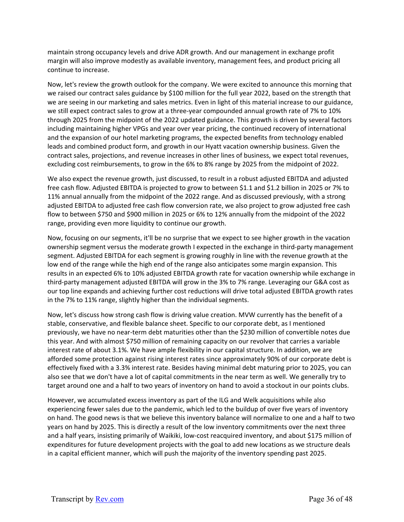maintain strong occupancy levels and drive ADR growth. And our management in exchange profit margin will also improve modestly as available inventory, management fees, and product pricing all continue to increase.

Now, let's review the growth outlook for the company. We were excited to announce this morning that we raised our contract sales guidance by \$100 million for the full year 2022, based on the strength that we are seeing in our marketing and sales metrics. Even in light of this material increase to our guidance, we still expect contract sales to grow at a three-year compounded annual growth rate of 7% to 10% through 2025 from the midpoint of the 2022 updated guidance. This growth is driven by several factors including maintaining higher VPGs and year over year pricing, the continued recovery of international and the expansion of our hotel marketing programs, the expected benefits from technology enabled leads and combined product form, and growth in our Hyatt vacation ownership business. Given the contract sales, projections, and revenue increases in other lines of business, we expect total revenues, excluding cost reimbursements, to grow in the 6% to 8% range by 2025 from the midpoint of 2022.

We also expect the revenue growth, just discussed, to result in a robust adjusted EBITDA and adjusted free cash flow. Adjusted EBITDA is projected to grow to between \$1.1 and \$1.2 billion in 2025 or 7% to 11% annual annually from the midpoint of the 2022 range. And as discussed previously, with a strong adjusted EBITDA to adjusted free cash flow conversion rate, we also project to grow adjusted free cash flow to between \$750 and \$900 million in 2025 or 6% to 12% annually from the midpoint of the 2022 range, providing even more liquidity to continue our growth.

Now, focusing on our segments, it'll be no surprise that we expect to see higher growth in the vacation ownership segment versus the moderate growth I expected in the exchange in third-party management segment. Adjusted EBITDA for each segment is growing roughly in line with the revenue growth at the low end of the range while the high end of the range also anticipates some margin expansion. This results in an expected 6% to 10% adjusted EBITDA growth rate for vacation ownership while exchange in third-party management adjusted EBITDA will grow in the 3% to 7% range. Leveraging our G&A cost as our top line expands and achieving further cost reductions will drive total adjusted EBITDA growth rates in the 7% to 11% range, slightly higher than the individual segments.

Now, let's discuss how strong cash flow is driving value creation. MVW currently has the benefit of a stable, conservative, and flexible balance sheet. Specific to our corporate debt, as I mentioned previously, we have no near‐term debt maturities other than the \$230 million of convertible notes due this year. And with almost \$750 million of remaining capacity on our revolver that carries a variable interest rate of about 3.1%. We have ample flexibility in our capital structure. In addition, we are afforded some protection against rising interest rates since approximately 90% of our corporate debt is effectively fixed with a 3.3% interest rate. Besides having minimal debt maturing prior to 2025, you can also see that we don't have a lot of capital commitments in the near term as well. We generally try to target around one and a half to two years of inventory on hand to avoid a stockout in our points clubs.

However, we accumulated excess inventory as part of the ILG and Welk acquisitions while also experiencing fewer sales due to the pandemic, which led to the buildup of over five years of inventory on hand. The good news is that we believe this inventory balance will normalize to one and a half to two years on hand by 2025. This is directly a result of the low inventory commitments over the next three and a half years, insisting primarily of Waikiki, low‐cost reacquired inventory, and about \$175 million of expenditures for future development projects with the goal to add new locations as we structure deals in a capital efficient manner, which will push the majority of the inventory spending past 2025.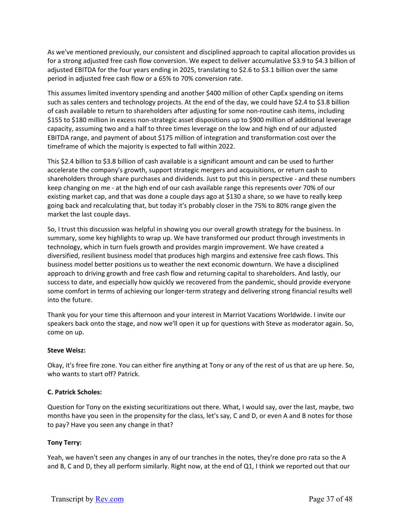As we've mentioned previously, our consistent and disciplined approach to capital allocation provides us for a strong adjusted free cash flow conversion. We expect to deliver accumulative \$3.9 to \$4.3 billion of adjusted EBITDA for the four years ending in 2025, translating to \$2.6 to \$3.1 billion over the same period in adjusted free cash flow or a 65% to 70% conversion rate.

This assumes limited inventory spending and another \$400 million of other CapEx spending on items such as sales centers and technology projects. At the end of the day, we could have \$2.4 to \$3.8 billion of cash available to return to shareholders after adjusting for some non‐routine cash items, including \$155 to \$180 million in excess non‐strategic asset dispositions up to \$900 million of additional leverage capacity, assuming two and a half to three times leverage on the low and high end of our adjusted EBITDA range, and payment of about \$175 million of integration and transformation cost over the timeframe of which the majority is expected to fall within 2022.

This \$2.4 billion to \$3.8 billion of cash available is a significant amount and can be used to further accelerate the company's growth, support strategic mergers and acquisitions, or return cash to shareholders through share purchases and dividends. Just to put this in perspective ‐ and these numbers keep changing on me ‐ at the high end of our cash available range this represents over 70% of our existing market cap, and that was done a couple days ago at \$130 a share, so we have to really keep going back and recalculating that, but today it's probably closer in the 75% to 80% range given the market the last couple days.

So, I trust this discussion was helpful in showing you our overall growth strategy for the business. In summary, some key highlights to wrap up. We have transformed our product through investments in technology, which in turn fuels growth and provides margin improvement. We have created a diversified, resilient business model that produces high margins and extensive free cash flows. This business model better positions us to weather the next economic downturn. We have a disciplined approach to driving growth and free cash flow and returning capital to shareholders. And lastly, our success to date, and especially how quickly we recovered from the pandemic, should provide everyone some comfort in terms of achieving our longer‐term strategy and delivering strong financial results well into the future.

Thank you for your time this afternoon and your interest in Marriot Vacations Worldwide. I invite our speakers back onto the stage, and now we'll open it up for questions with Steve as moderator again. So, come on up.

# **Steve Weisz:**

Okay, it's free fire zone. You can either fire anything at Tony or any of the rest of us that are up here. So, who wants to start off? Patrick.

# **C. Patrick Scholes:**

Question for Tony on the existing securitizations out there. What, I would say, over the last, maybe, two months have you seen in the propensity for the class, let's say, C and D, or even A and B notes for those to pay? Have you seen any change in that?

# **Tony Terry:**

Yeah, we haven't seen any changes in any of our tranches in the notes, they're done pro rata so the A and B, C and D, they all perform similarly. Right now, at the end of Q1, I think we reported out that our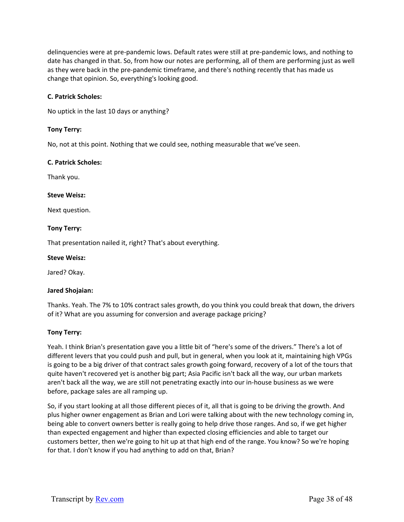delinquencies were at pre‐pandemic lows. Default rates were still at pre‐pandemic lows, and nothing to date has changed in that. So, from how our notes are performing, all of them are performing just as well as they were back in the pre-pandemic timeframe, and there's nothing recently that has made us change that opinion. So, everything's looking good.

### **C. Patrick Scholes:**

No uptick in the last 10 days or anything?

### **Tony Terry:**

No, not at this point. Nothing that we could see, nothing measurable that we've seen.

#### **C. Patrick Scholes:**

Thank you.

### **Steve Weisz:**

Next question.

### **Tony Terry:**

That presentation nailed it, right? That's about everything.

#### **Steve Weisz:**

Jared? Okay.

#### **Jared Shojaian:**

Thanks. Yeah. The 7% to 10% contract sales growth, do you think you could break that down, the drivers of it? What are you assuming for conversion and average package pricing?

#### **Tony Terry:**

Yeah. I think Brian's presentation gave you a little bit of "here's some of the drivers." There's a lot of different levers that you could push and pull, but in general, when you look at it, maintaining high VPGs is going to be a big driver of that contract sales growth going forward, recovery of a lot of the tours that quite haven't recovered yet is another big part; Asia Pacific isn't back all the way, our urban markets aren't back all the way, we are still not penetrating exactly into our in‐house business as we were before, package sales are all ramping up.

So, if you start looking at all those different pieces of it, all that is going to be driving the growth. And plus higher owner engagement as Brian and Lori were talking about with the new technology coming in, being able to convert owners better is really going to help drive those ranges. And so, if we get higher than expected engagement and higher than expected closing efficiencies and able to target our customers better, then we're going to hit up at that high end of the range. You know? So we're hoping for that. I don't know if you had anything to add on that, Brian?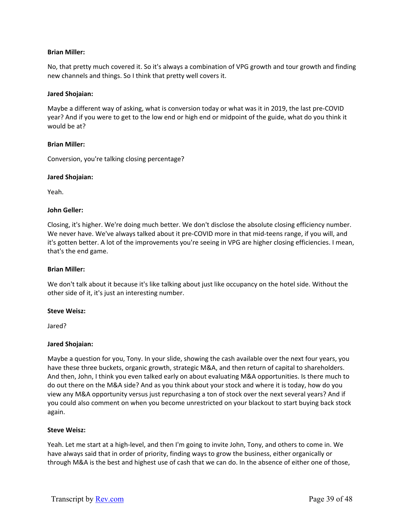# **Brian Miller:**

No, that pretty much covered it. So it's always a combination of VPG growth and tour growth and finding new channels and things. So I think that pretty well covers it.

#### **Jared Shojaian:**

Maybe a different way of asking, what is conversion today or what was it in 2019, the last pre‐COVID year? And if you were to get to the low end or high end or midpoint of the guide, what do you think it would be at?

### **Brian Miller:**

Conversion, you're talking closing percentage?

### **Jared Shojaian:**

Yeah.

### **John Geller:**

Closing, it's higher. We're doing much better. We don't disclose the absolute closing efficiency number. We never have. We've always talked about it pre-COVID more in that mid-teens range, if you will, and it's gotten better. A lot of the improvements you're seeing in VPG are higher closing efficiencies. I mean, that's the end game.

#### **Brian Miller:**

We don't talk about it because it's like talking about just like occupancy on the hotel side. Without the other side of it, it's just an interesting number.

#### **Steve Weisz:**

Jared?

# **Jared Shojaian:**

Maybe a question for you, Tony. In your slide, showing the cash available over the next four years, you have these three buckets, organic growth, strategic M&A, and then return of capital to shareholders. And then, John, I think you even talked early on about evaluating M&A opportunities. Is there much to do out there on the M&A side? And as you think about your stock and where it is today, how do you view any M&A opportunity versus just repurchasing a ton of stock over the next several years? And if you could also comment on when you become unrestricted on your blackout to start buying back stock again.

#### **Steve Weisz:**

Yeah. Let me start at a high‐level, and then I'm going to invite John, Tony, and others to come in. We have always said that in order of priority, finding ways to grow the business, either organically or through M&A is the best and highest use of cash that we can do. In the absence of either one of those,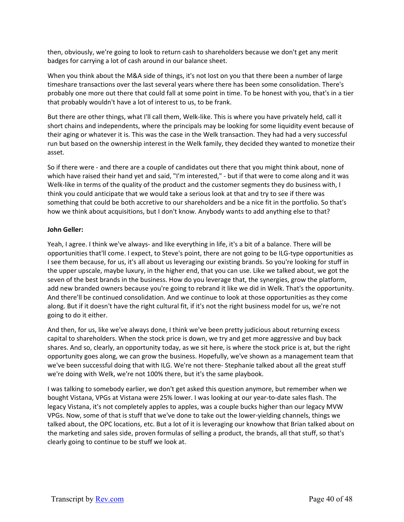then, obviously, we're going to look to return cash to shareholders because we don't get any merit badges for carrying a lot of cash around in our balance sheet.

When you think about the M&A side of things, it's not lost on you that there been a number of large timeshare transactions over the last several years where there has been some consolidation. There's probably one more out there that could fall at some point in time. To be honest with you, that's in a tier that probably wouldn't have a lot of interest to us, to be frank.

But there are other things, what I'll call them, Welk‐like. This is where you have privately held, call it short chains and independents, where the principals may be looking for some liquidity event because of their aging or whatever it is. This was the case in the Welk transaction. They had had a very successful run but based on the ownership interest in the Welk family, they decided they wanted to monetize their asset.

So if there were ‐ and there are a couple of candidates out there that you might think about, none of which have raised their hand yet and said, "I'm interested," - but if that were to come along and it was Welk-like in terms of the quality of the product and the customer segments they do business with, I think you could anticipate that we would take a serious look at that and try to see if there was something that could be both accretive to our shareholders and be a nice fit in the portfolio. So that's how we think about acquisitions, but I don't know. Anybody wants to add anything else to that?

# **John Geller:**

Yeah, I agree. I think we've always- and like everything in life, it's a bit of a balance. There will be opportunities that'll come. I expect, to Steve's point, there are not going to be ILG‐type opportunities as I see them because, for us, it's all about us leveraging our existing brands. So you're looking for stuff in the upper upscale, maybe luxury, in the higher end, that you can use. Like we talked about, we got the seven of the best brands in the business. How do you leverage that, the synergies, grow the platform, add new branded owners because you're going to rebrand it like we did in Welk. That's the opportunity. And there'll be continued consolidation. And we continue to look at those opportunities as they come along. But if it doesn't have the right cultural fit, if it's not the right business model for us, we're not going to do it either.

And then, for us, like we've always done, I think we've been pretty judicious about returning excess capital to shareholders. When the stock price is down, we try and get more aggressive and buy back shares. And so, clearly, an opportunity today, as we sit here, is where the stock price is at, but the right opportunity goes along, we can grow the business. Hopefully, we've shown as a management team that we've been successful doing that with ILG. We're not there‐ Stephanie talked about all the great stuff we're doing with Welk, we're not 100% there, but it's the same playbook.

I was talking to somebody earlier, we don't get asked this question anymore, but remember when we bought Vistana, VPGs at Vistana were 25% lower. I was looking at our year‐to‐date sales flash. The legacy Vistana, it's not completely apples to apples, was a couple bucks higher than our legacy MVW VPGs. Now, some of that is stuff that we've done to take out the lower‐yielding channels, things we talked about, the OPC locations, etc. But a lot of it is leveraging our knowhow that Brian talked about on the marketing and sales side, proven formulas of selling a product, the brands, all that stuff, so that's clearly going to continue to be stuff we look at.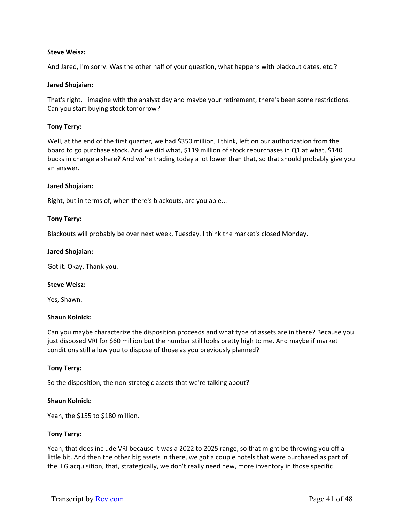### **Steve Weisz:**

And Jared, I'm sorry. Was the other half of your question, what happens with blackout dates, etc.?

#### **Jared Shojaian:**

That's right. I imagine with the analyst day and maybe your retirement, there's been some restrictions. Can you start buying stock tomorrow?

### **Tony Terry:**

Well, at the end of the first quarter, we had \$350 million, I think, left on our authorization from the board to go purchase stock. And we did what, \$119 million of stock repurchases in Q1 at what, \$140 bucks in change a share? And we're trading today a lot lower than that, so that should probably give you an answer.

#### **Jared Shojaian:**

Right, but in terms of, when there's blackouts, are you able...

### **Tony Terry:**

Blackouts will probably be over next week, Tuesday. I think the market's closed Monday.

#### **Jared Shojaian:**

Got it. Okay. Thank you.

#### **Steve Weisz:**

Yes, Shawn.

#### **Shaun Kolnick:**

Can you maybe characterize the disposition proceeds and what type of assets are in there? Because you just disposed VRI for \$60 million but the number still looks pretty high to me. And maybe if market conditions still allow you to dispose of those as you previously planned?

#### **Tony Terry:**

So the disposition, the non‐strategic assets that we're talking about?

#### **Shaun Kolnick:**

Yeah, the \$155 to \$180 million.

#### **Tony Terry:**

Yeah, that does include VRI because it was a 2022 to 2025 range, so that might be throwing you off a little bit. And then the other big assets in there, we got a couple hotels that were purchased as part of the ILG acquisition, that, strategically, we don't really need new, more inventory in those specific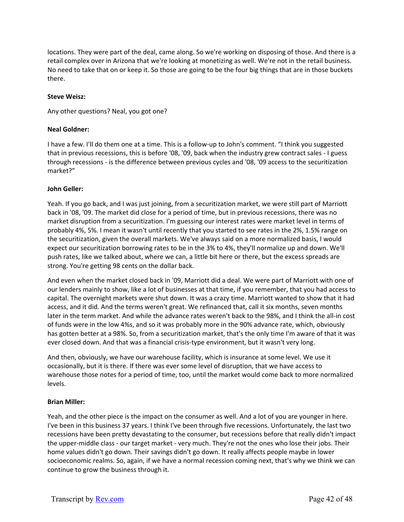locations. They were part of the deal, came along. So we're working on disposing of those. And there is a retail complex over in Arizona that we're looking at monetizing as well. We're not in the retail business. No need to take that on or keep it. So those are going to be the four big things that are in those buckets there.

# **Steve Weisz:**

Any other questions? Neal, you got one?

### **Neal Goldner:**

I have a few. I'll do them one at a time. This is a follow‐up to John's comment. "I think you suggested that in previous recessions, this is before '08, '09, back when the industry grew contract sales ‐ I guess through recessions ‐ is the difference between previous cycles and '08, '09 access to the securitization market?"

### **John Geller:**

Yeah. If you go back, and I was just joining, from a securitization market, we were still part of Marriott back in '08, '09. The market did close for a period of time, but in previous recessions, there was no market disruption from a securitization. I'm guessing our interest rates were market level in terms of probably 4%, 5%. I mean it wasn't until recently that you started to see rates in the 2%, 1.5% range on the securitization, given the overall markets. We've always said on a more normalized basis, I would expect our securitization borrowing rates to be in the 3% to 4%, they'll normalize up and down. We'll push rates, like we talked about, where we can, a little bit here or there, but the excess spreads are strong. You're getting 98 cents on the dollar back.

And even when the market closed back in '09, Marriott did a deal. We were part of Marriott with one of our lenders mainly to show, like a lot of businesses at that time, if you remember, that you had access to capital. The overnight markets were shut down. It was a crazy time. Marriott wanted to show that it had access, and it did. And the terms weren't great. We refinanced that, call it six months, seven months later in the term market. And while the advance rates weren't back to the 98%, and I think the all-in cost of funds were in the low 4%s, and so it was probably more in the 90% advance rate, which, obviously has gotten better at a 98%. So, from a securitization market, that's the only time I'm aware of that it was ever closed down. And that was a financial crisis-type environment, but it wasn't very long.

And then, obviously, we have our warehouse facility, which is insurance at some level. We use it occasionally, but it is there. If there was ever some level of disruption, that we have access to warehouse those notes for a period of time, too, until the market would come back to more normalized levels.

# **Brian Miller:**

Yeah, and the other piece is the impact on the consumer as well. And a lot of you are younger in here. I've been in this business 37 years. I think I've been through five recessions. Unfortunately, the last two recessions have been pretty devastating to the consumer, but recessions before that really didn't impact the upper‐middle class ‐ our target market ‐ very much. They're not the ones who lose their jobs. Their home values didn't go down. Their savings didn't go down. It really affects people maybe in lower socioeconomic realms. So, again, if we have a normal recession coming next, that's why we think we can continue to grow the business through it.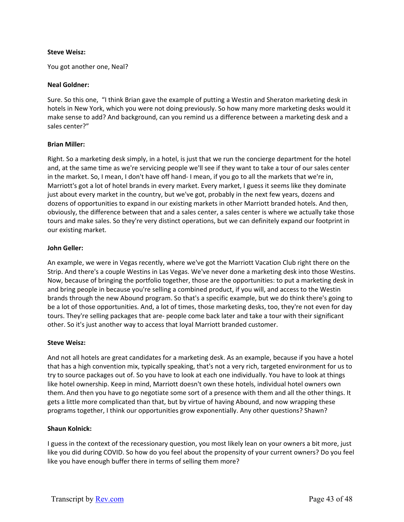### **Steve Weisz:**

You got another one, Neal?

### **Neal Goldner:**

Sure. So this one, "I think Brian gave the example of putting a Westin and Sheraton marketing desk in hotels in New York, which you were not doing previously. So how many more marketing desks would it make sense to add? And background, can you remind us a difference between a marketing desk and a sales center?"

# **Brian Miller:**

Right. So a marketing desk simply, in a hotel, is just that we run the concierge department for the hotel and, at the same time as we're servicing people we'll see if they want to take a tour of our sales center in the market. So, I mean, I don't have off hand‐ I mean, if you go to all the markets that we're in, Marriott's got a lot of hotel brands in every market. Every market, I guess it seems like they dominate just about every market in the country, but we've got, probably in the next few years, dozens and dozens of opportunities to expand in our existing markets in other Marriott branded hotels. And then, obviously, the difference between that and a sales center, a sales center is where we actually take those tours and make sales. So they're very distinct operations, but we can definitely expand our footprint in our existing market.

### **John Geller:**

An example, we were in Vegas recently, where we've got the Marriott Vacation Club right there on the Strip. And there's a couple Westins in Las Vegas. We've never done a marketing desk into those Westins. Now, because of bringing the portfolio together, those are the opportunities: to put a marketing desk in and bring people in because you're selling a combined product, if you will, and access to the Westin brands through the new Abound program. So that's a specific example, but we do think there's going to be a lot of those opportunities. And, a lot of times, those marketing desks, too, they're not even for day tours. They're selling packages that are‐ people come back later and take a tour with their significant other. So it's just another way to access that loyal Marriott branded customer.

# **Steve Weisz:**

And not all hotels are great candidates for a marketing desk. As an example, because if you have a hotel that has a high convention mix, typically speaking, that's not a very rich, targeted environment for us to try to source packages out of. So you have to look at each one individually. You have to look at things like hotel ownership. Keep in mind, Marriott doesn't own these hotels, individual hotel owners own them. And then you have to go negotiate some sort of a presence with them and all the other things. It gets a little more complicated than that, but by virtue of having Abound, and now wrapping these programs together, I think our opportunities grow exponentially. Any other questions? Shawn?

# **Shaun Kolnick:**

I guess in the context of the recessionary question, you most likely lean on your owners a bit more, just like you did during COVID. So how do you feel about the propensity of your current owners? Do you feel like you have enough buffer there in terms of selling them more?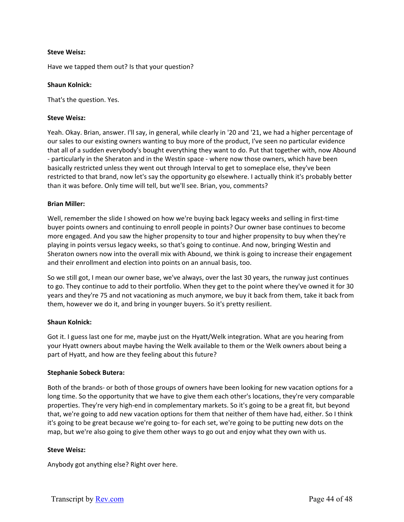### **Steve Weisz:**

Have we tapped them out? Is that your question?

#### **Shaun Kolnick:**

That's the question. Yes.

### **Steve Weisz:**

Yeah. Okay. Brian, answer. I'll say, in general, while clearly in '20 and '21, we had a higher percentage of our sales to our existing owners wanting to buy more of the product, I've seen no particular evidence that all of a sudden everybody's bought everything they want to do. Put that together with, now Abound ‐ particularly in the Sheraton and in the Westin space ‐ where now those owners, which have been basically restricted unless they went out through Interval to get to someplace else, they've been restricted to that brand, now let's say the opportunity go elsewhere. I actually think it's probably better than it was before. Only time will tell, but we'll see. Brian, you, comments?

### **Brian Miller:**

Well, remember the slide I showed on how we're buying back legacy weeks and selling in first-time buyer points owners and continuing to enroll people in points? Our owner base continues to become more engaged. And you saw the higher propensity to tour and higher propensity to buy when they're playing in points versus legacy weeks, so that's going to continue. And now, bringing Westin and Sheraton owners now into the overall mix with Abound, we think is going to increase their engagement and their enrollment and election into points on an annual basis, too.

So we still got, I mean our owner base, we've always, over the last 30 years, the runway just continues to go. They continue to add to their portfolio. When they get to the point where they've owned it for 30 years and they're 75 and not vacationing as much anymore, we buy it back from them, take it back from them, however we do it, and bring in younger buyers. So it's pretty resilient.

#### **Shaun Kolnick:**

Got it. I guess last one for me, maybe just on the Hyatt/Welk integration. What are you hearing from your Hyatt owners about maybe having the Welk available to them or the Welk owners about being a part of Hyatt, and how are they feeling about this future?

# **Stephanie Sobeck Butera:**

Both of the brands‐ or both of those groups of owners have been looking for new vacation options for a long time. So the opportunity that we have to give them each other's locations, they're very comparable properties. They're very high‐end in complementary markets. So it's going to be a great fit, but beyond that, we're going to add new vacation options for them that neither of them have had, either. So I think it's going to be great because we're going to‐ for each set, we're going to be putting new dots on the map, but we're also going to give them other ways to go out and enjoy what they own with us.

# **Steve Weisz:**

Anybody got anything else? Right over here.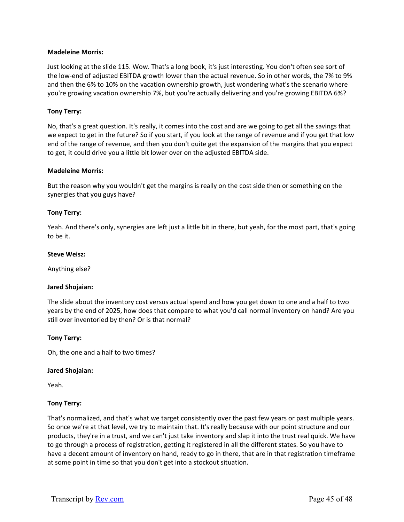### **Madeleine Morris:**

Just looking at the slide 115. Wow. That's a long book, it's just interesting. You don't often see sort of the low-end of adjusted EBITDA growth lower than the actual revenue. So in other words, the 7% to 9% and then the 6% to 10% on the vacation ownership growth, just wondering what's the scenario where you're growing vacation ownership 7%, but you're actually delivering and you're growing EBITDA 6%?

### **Tony Terry:**

No, that's a great question. It's really, it comes into the cost and are we going to get all the savings that we expect to get in the future? So if you start, if you look at the range of revenue and if you get that low end of the range of revenue, and then you don't quite get the expansion of the margins that you expect to get, it could drive you a little bit lower over on the adjusted EBITDA side.

### **Madeleine Morris:**

But the reason why you wouldn't get the margins is really on the cost side then or something on the synergies that you guys have?

### **Tony Terry:**

Yeah. And there's only, synergies are left just a little bit in there, but yeah, for the most part, that's going to be it.

#### **Steve Weisz:**

Anything else?

#### **Jared Shojaian:**

The slide about the inventory cost versus actual spend and how you get down to one and a half to two years by the end of 2025, how does that compare to what you'd call normal inventory on hand? Are you still over inventoried by then? Or is that normal?

#### **Tony Terry:**

Oh, the one and a half to two times?

#### **Jared Shojaian:**

Yeah.

#### **Tony Terry:**

That's normalized, and that's what we target consistently over the past few years or past multiple years. So once we're at that level, we try to maintain that. It's really because with our point structure and our products, they're in a trust, and we can't just take inventory and slap it into the trust real quick. We have to go through a process of registration, getting it registered in all the different states. So you have to have a decent amount of inventory on hand, ready to go in there, that are in that registration timeframe at some point in time so that you don't get into a stockout situation.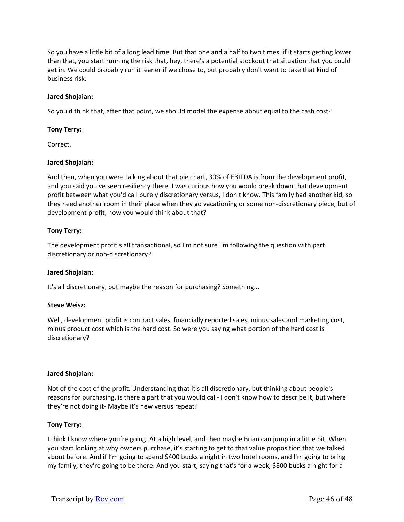So you have a little bit of a long lead time. But that one and a half to two times, if it starts getting lower than that, you start running the risk that, hey, there's a potential stockout that situation that you could get in. We could probably run it leaner if we chose to, but probably don't want to take that kind of business risk.

### **Jared Shojaian:**

So you'd think that, after that point, we should model the expense about equal to the cash cost?

### **Tony Terry:**

Correct.

### **Jared Shojaian:**

And then, when you were talking about that pie chart, 30% of EBITDA is from the development profit, and you said you've seen resiliency there. I was curious how you would break down that development profit between what you'd call purely discretionary versus, I don't know. This family had another kid, so they need another room in their place when they go vacationing or some non-discretionary piece, but of development profit, how you would think about that?

### **Tony Terry:**

The development profit's all transactional, so I'm not sure I'm following the question with part discretionary or non-discretionary?

#### **Jared Shojaian:**

It's all discretionary, but maybe the reason for purchasing? Something...

#### **Steve Weisz:**

Well, development profit is contract sales, financially reported sales, minus sales and marketing cost, minus product cost which is the hard cost. So were you saying what portion of the hard cost is discretionary?

#### **Jared Shojaian:**

Not of the cost of the profit. Understanding that it's all discretionary, but thinking about people's reasons for purchasing, is there a part that you would call‐ I don't know how to describe it, but where they're not doing it‐ Maybe it's new versus repeat?

# **Tony Terry:**

I think I know where you're going. At a high level, and then maybe Brian can jump in a little bit. When you start looking at why owners purchase, it's starting to get to that value proposition that we talked about before. And if I'm going to spend \$400 bucks a night in two hotel rooms, and I'm going to bring my family, they're going to be there. And you start, saying that's for a week, \$800 bucks a night for a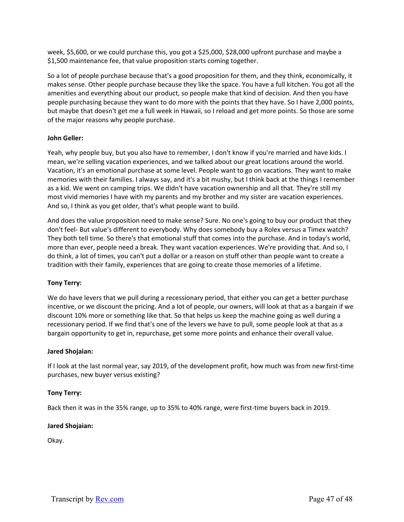week, \$5,600, or we could purchase this, you got a \$25,000, \$28,000 upfront purchase and maybe a \$1,500 maintenance fee, that value proposition starts coming together.

So a lot of people purchase because that's a good proposition for them, and they think, economically, it makes sense. Other people purchase because they like the space. You have a full kitchen. You got all the amenities and everything about our product, so people make that kind of decision. And then you have people purchasing because they want to do more with the points that they have. So I have 2,000 points, but maybe that doesn't get me a full week in Hawaii, so I reload and get more points. So those are some of the major reasons why people purchase.

# **John Geller:**

Yeah, why people buy, but you also have to remember, I don't know if you're married and have kids. I mean, we're selling vacation experiences, and we talked about our great locations around the world. Vacation, it's an emotional purchase at some level. People want to go on vacations. They want to make memories with their families. I always say, and it's a bit mushy, but I think back at the things I remember as a kid. We went on camping trips. We didn't have vacation ownership and all that. They're still my most vivid memories I have with my parents and my brother and my sister are vacation experiences. And so, I think as you get older, that's what people want to build.

And does the value proposition need to make sense? Sure. No one's going to buy our product that they don't feel‐ But value's different to everybody. Why does somebody buy a Rolex versus a Timex watch? They both tell time. So there's that emotional stuff that comes into the purchase. And in today's world, more than ever, people need a break. They want vacation experiences. We're providing that. And so, I do think, a lot of times, you can't put a dollar or a reason on stuff other than people want to create a tradition with their family, experiences that are going to create those memories of a lifetime.

# **Tony Terry:**

We do have levers that we pull during a recessionary period, that either you can get a better purchase incentive, or we discount the pricing. And a lot of people, our owners, will look at that as a bargain if we discount 10% more or something like that. So that helps us keep the machine going as well during a recessionary period. If we find that's one of the levers we have to pull, some people look at that as a bargain opportunity to get in, repurchase, get some more points and enhance their overall value.

# **Jared Shojaian:**

If I look at the last normal year, say 2019, of the development profit, how much was from new first‐time purchases, new buyer versus existing?

# **Tony Terry:**

Back then it was in the 35% range, up to 35% to 40% range, were first-time buyers back in 2019.

# **Jared Shojaian:**

Okay.